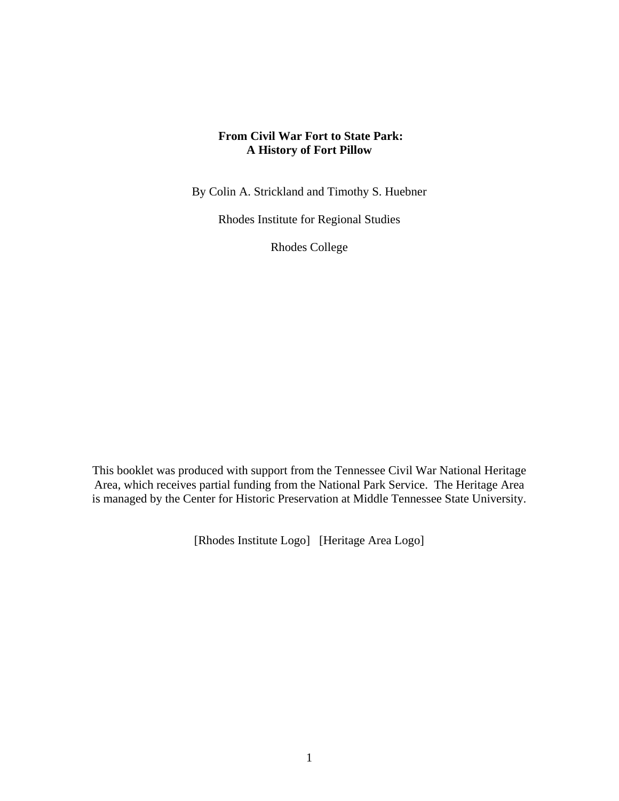# **From Civil War Fort to State Park: A History of Fort Pillow**

By Colin A. Strickland and Timothy S. Huebner

Rhodes Institute for Regional Studies

Rhodes College

This booklet was produced with support from the Tennessee Civil War National Heritage Area, which receives partial funding from the National Park Service. The Heritage Area is managed by the Center for Historic Preservation at Middle Tennessee State University.

[Rhodes Institute Logo] [Heritage Area Logo]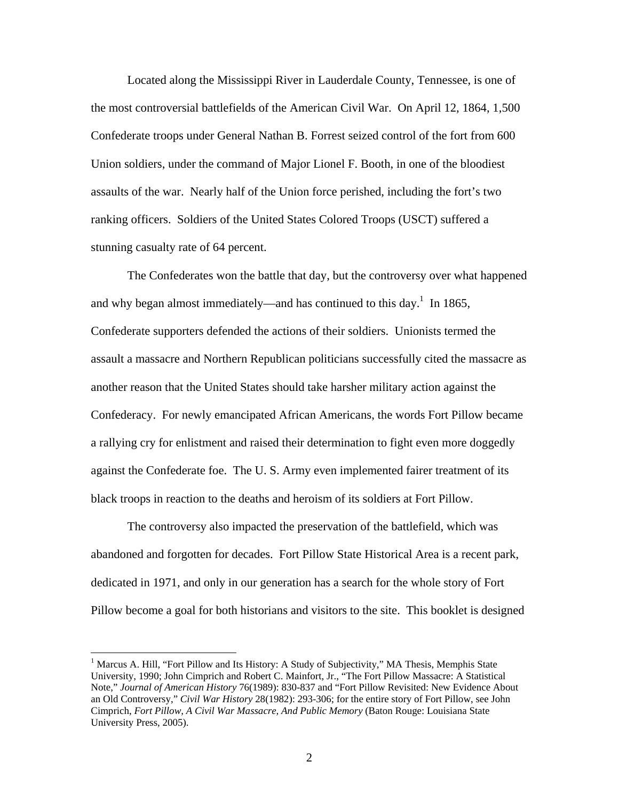Located along the Mississippi River in Lauderdale County, Tennessee, is one of the most controversial battlefields of the American Civil War. On April 12, 1864, 1,500 Confederate troops under General Nathan B. Forrest seized control of the fort from 600 Union soldiers, under the command of Major Lionel F. Booth, in one of the bloodiest assaults of the war. Nearly half of the Union force perished, including the fort's two ranking officers. Soldiers of the United States Colored Troops (USCT) suffered a stunning casualty rate of 64 percent.

 The Confederates won the battle that day, but the controversy over what happened and why began almost immediately—and has continued to this day.<sup>1</sup> In 1865, Confederate supporters defended the actions of their soldiers. Unionists termed the assault a massacre and Northern Republican politicians successfully cited the massacre as another reason that the United States should take harsher military action against the Confederacy. For newly emancipated African Americans, the words Fort Pillow became a rallying cry for enlistment and raised their determination to fight even more doggedly against the Confederate foe. The U. S. Army even implemented fairer treatment of its black troops in reaction to the deaths and heroism of its soldiers at Fort Pillow.

 The controversy also impacted the preservation of the battlefield, which was abandoned and forgotten for decades. Fort Pillow State Historical Area is a recent park, dedicated in 1971, and only in our generation has a search for the whole story of Fort Pillow become a goal for both historians and visitors to the site. This booklet is designed

 $\overline{a}$ 

<sup>&</sup>lt;sup>1</sup> Marcus A. Hill, "Fort Pillow and Its History: A Study of Subjectivity," MA Thesis, Memphis State University, 1990; John Cimprich and Robert C. Mainfort, Jr., "The Fort Pillow Massacre: A Statistical Note," *Journal of American History* 76(1989): 830-837 and "Fort Pillow Revisited: New Evidence About an Old Controversy," *Civil War History* 28(1982): 293-306; for the entire story of Fort Pillow, see John Cimprich, *Fort Pillow, A Civil War Massacre, And Public Memory* (Baton Rouge: Louisiana State University Press, 2005).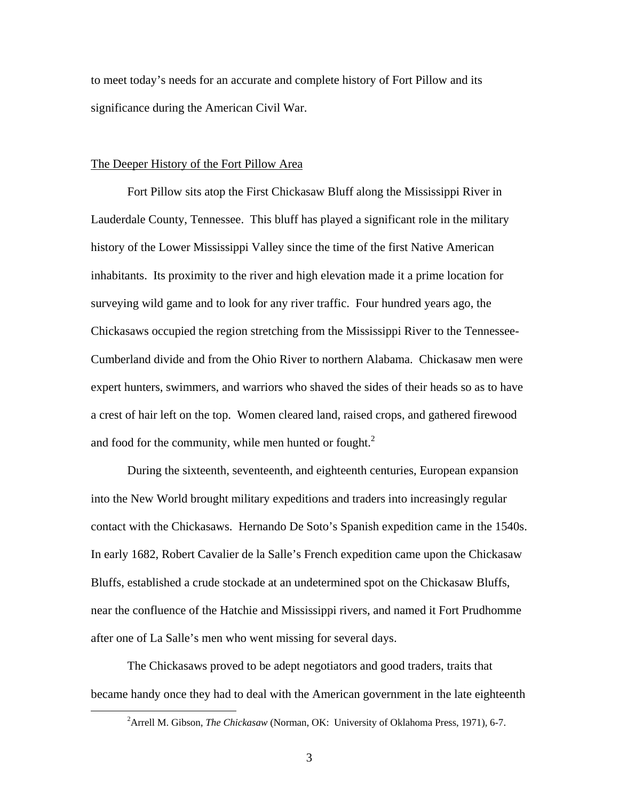to meet today's needs for an accurate and complete history of Fort Pillow and its significance during the American Civil War.

### The Deeper History of the Fort Pillow Area

 Fort Pillow sits atop the First Chickasaw Bluff along the Mississippi River in Lauderdale County, Tennessee. This bluff has played a significant role in the military history of the Lower Mississippi Valley since the time of the first Native American inhabitants. Its proximity to the river and high elevation made it a prime location for surveying wild game and to look for any river traffic. Four hundred years ago, the Chickasaws occupied the region stretching from the Mississippi River to the Tennessee-Cumberland divide and from the Ohio River to northern Alabama. Chickasaw men were expert hunters, swimmers, and warriors who shaved the sides of their heads so as to have a crest of hair left on the top. Women cleared land, raised crops, and gathered firewood and food for the community, while men hunted or fought. $^{2}$ 

 During the sixteenth, seventeenth, and eighteenth centuries, European expansion into the New World brought military expeditions and traders into increasingly regular contact with the Chickasaws. Hernando De Soto's Spanish expedition came in the 1540s. In early 1682, Robert Cavalier de la Salle's French expedition came upon the Chickasaw Bluffs, established a crude stockade at an undetermined spot on the Chickasaw Bluffs, near the confluence of the Hatchie and Mississippi rivers, and named it Fort Prudhomme after one of La Salle's men who went missing for several days.

The Chickasaws proved to be adept negotiators and good traders, traits that became handy once they had to deal with the American government in the late eighteenth

 $\frac{1}{2}$ <sup>2</sup> Arrell M. Gibson, *The Chickasaw* (Norman, OK: University of Oklahoma Press, 1971), 6-7.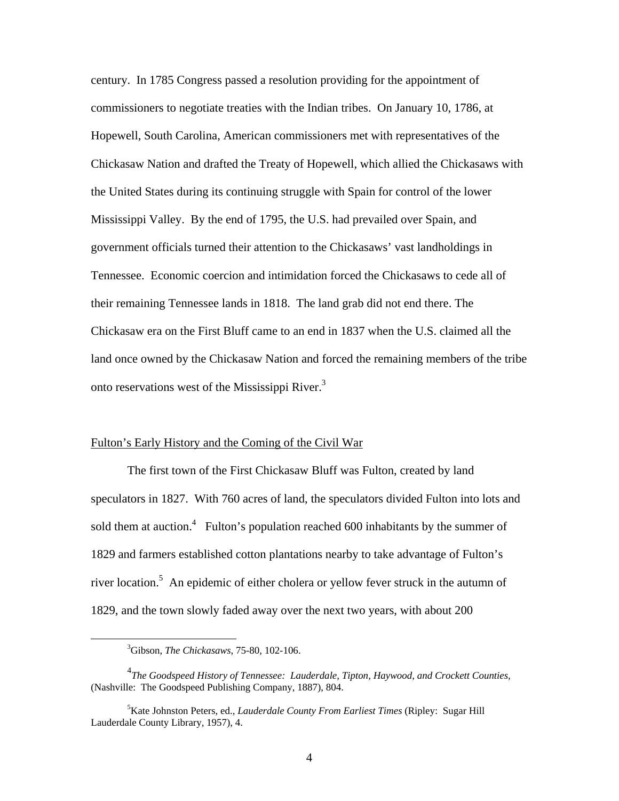century. In 1785 Congress passed a resolution providing for the appointment of commissioners to negotiate treaties with the Indian tribes. On January 10, 1786, at Hopewell, South Carolina, American commissioners met with representatives of the Chickasaw Nation and drafted the Treaty of Hopewell, which allied the Chickasaws with the United States during its continuing struggle with Spain for control of the lower Mississippi Valley. By the end of 1795, the U.S. had prevailed over Spain, and government officials turned their attention to the Chickasaws' vast landholdings in Tennessee. Economic coercion and intimidation forced the Chickasaws to cede all of their remaining Tennessee lands in 1818. The land grab did not end there. The Chickasaw era on the First Bluff came to an end in 1837 when the U.S. claimed all the land once owned by the Chickasaw Nation and forced the remaining members of the tribe onto reservations west of the Mississippi River.<sup>3</sup>

### Fulton's Early History and the Coming of the Civil War

 The first town of the First Chickasaw Bluff was Fulton, created by land speculators in 1827. With 760 acres of land, the speculators divided Fulton into lots and sold them at auction.<sup>4</sup> Fulton's population reached 600 inhabitants by the summer of 1829 and farmers established cotton plantations nearby to take advantage of Fulton's river location.<sup>5</sup> An epidemic of either cholera or yellow fever struck in the autumn of 1829, and the town slowly faded away over the next two years, with about 200

 $\frac{1}{3}$ Gibson, *The Chickasaws*, 75-80, 102-106.

<sup>4</sup> *The Goodspeed History of Tennessee: Lauderdale, Tipton, Haywood, and Crockett Counties,* (Nashville: The Goodspeed Publishing Company, 1887), 804.

 <sup>5</sup> Kate Johnston Peters, ed., *Lauderdale County From Earliest Times* (Ripley: Sugar Hill Lauderdale County Library, 1957), 4.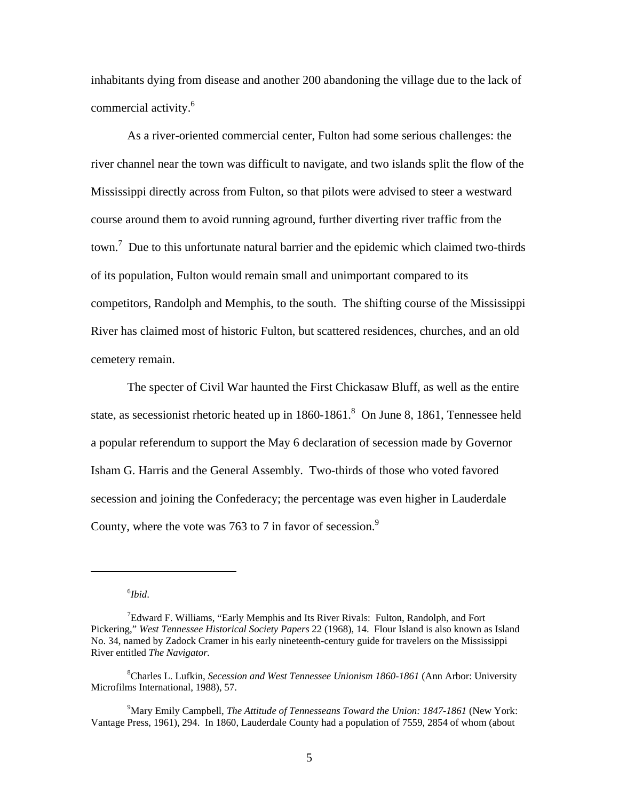inhabitants dying from disease and another 200 abandoning the village due to the lack of commercial activity.<sup>6</sup>

 As a river-oriented commercial center, Fulton had some serious challenges: the river channel near the town was difficult to navigate, and two islands split the flow of the Mississippi directly across from Fulton, so that pilots were advised to steer a westward course around them to avoid running aground, further diverting river traffic from the town.<sup>7</sup> Due to this unfortunate natural barrier and the epidemic which claimed two-thirds of its population, Fulton would remain small and unimportant compared to its competitors, Randolph and Memphis, to the south. The shifting course of the Mississippi River has claimed most of historic Fulton, but scattered residences, churches, and an old cemetery remain.

The specter of Civil War haunted the First Chickasaw Bluff, as well as the entire state, as secessionist rhetoric heated up in  $1860-1861$ .<sup>8</sup> On June 8, 1861, Tennessee held a popular referendum to support the May 6 declaration of secession made by Governor Isham G. Harris and the General Assembly. Two-thirds of those who voted favored secession and joining the Confederacy; the percentage was even higher in Lauderdale County, where the vote was 763 to 7 in favor of secession. $9$ 

6 *Ibid*.

 $\overline{a}$ 

 $7$ Edward F. Williams, "Early Memphis and Its River Rivals: Fulton, Randolph, and Fort Pickering," *West Tennessee Historical Society Papers* 22 (1968), 14. Flour Island is also known as Island No. 34, named by Zadock Cramer in his early nineteenth-century guide for travelers on the Mississippi River entitled *The Navigator.* 

<sup>8</sup> Charles L. Lufkin, *Secession and West Tennessee Unionism 1860-1861* (Ann Arbor: University Microfilms International, 1988), 57.

<sup>9</sup> Mary Emily Campbell, *The Attitude of Tennesseans Toward the Union: 1847-1861* (New York: Vantage Press, 1961), 294. In 1860, Lauderdale County had a population of 7559, 2854 of whom (about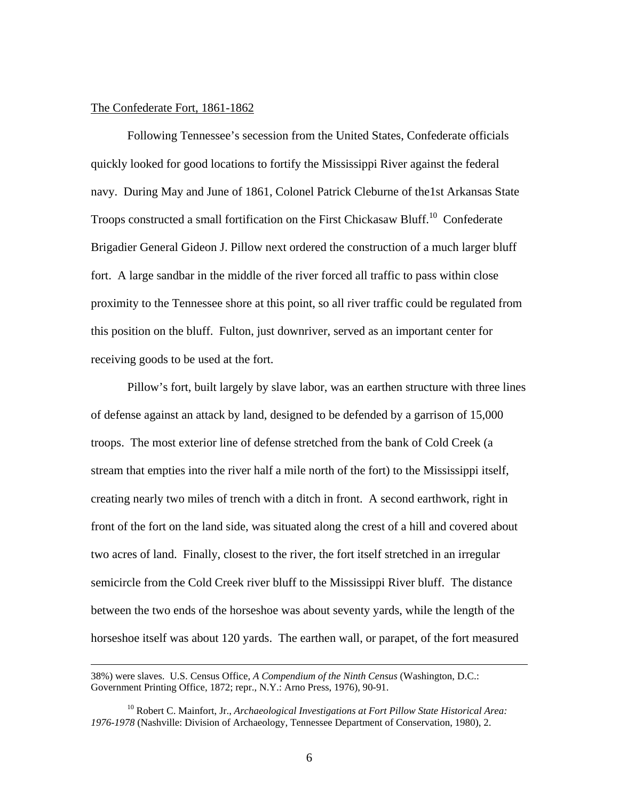### The Confederate Fort, 1861-1862

Following Tennessee's secession from the United States, Confederate officials quickly looked for good locations to fortify the Mississippi River against the federal navy. During May and June of 1861, Colonel Patrick Cleburne of the1st Arkansas State Troops constructed a small fortification on the First Chickasaw Bluff.<sup>10</sup> Confederate Brigadier General Gideon J. Pillow next ordered the construction of a much larger bluff fort. A large sandbar in the middle of the river forced all traffic to pass within close proximity to the Tennessee shore at this point, so all river traffic could be regulated from this position on the bluff. Fulton, just downriver, served as an important center for receiving goods to be used at the fort.

Pillow's fort, built largely by slave labor, was an earthen structure with three lines of defense against an attack by land, designed to be defended by a garrison of 15,000 troops. The most exterior line of defense stretched from the bank of Cold Creek (a stream that empties into the river half a mile north of the fort) to the Mississippi itself, creating nearly two miles of trench with a ditch in front. A second earthwork, right in front of the fort on the land side, was situated along the crest of a hill and covered about two acres of land. Finally, closest to the river, the fort itself stretched in an irregular semicircle from the Cold Creek river bluff to the Mississippi River bluff. The distance between the two ends of the horseshoe was about seventy yards, while the length of the horseshoe itself was about 120 yards. The earthen wall, or parapet, of the fort measured

 <sup>38%)</sup> were slaves. U.S. Census Office, *A Compendium of the Ninth Census* (Washington, D.C.: Government Printing Office, 1872; repr., N.Y.: Arno Press, 1976), 90-91.

<sup>&</sup>lt;sup>10</sup> Robert C. Mainfort, Jr., *Archaeological Investigations at Fort Pillow State Historical Area: 1976-1978* (Nashville: Division of Archaeology, Tennessee Department of Conservation, 1980), 2.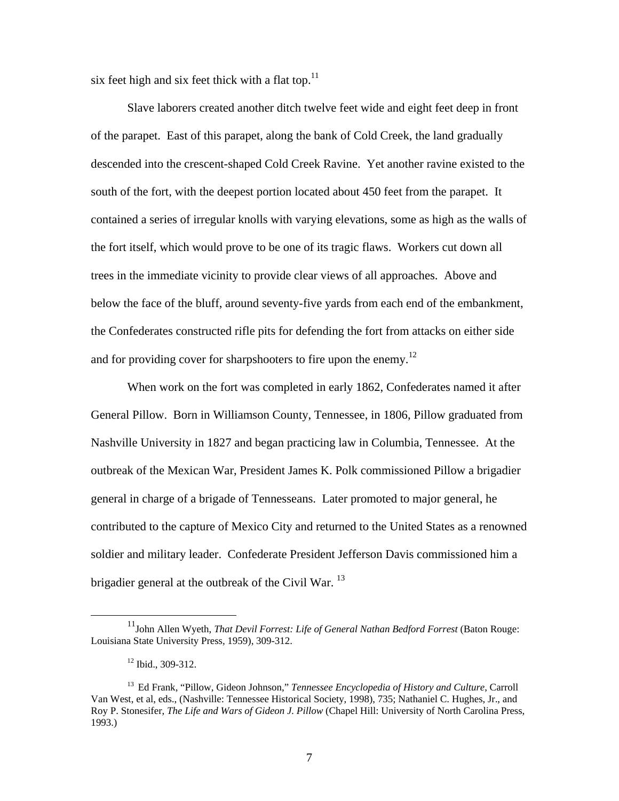six feet high and six feet thick with a flat top. $^{11}$ 

Slave laborers created another ditch twelve feet wide and eight feet deep in front of the parapet. East of this parapet, along the bank of Cold Creek, the land gradually descended into the crescent-shaped Cold Creek Ravine. Yet another ravine existed to the south of the fort, with the deepest portion located about 450 feet from the parapet. It contained a series of irregular knolls with varying elevations, some as high as the walls of the fort itself, which would prove to be one of its tragic flaws. Workers cut down all trees in the immediate vicinity to provide clear views of all approaches. Above and below the face of the bluff, around seventy-five yards from each end of the embankment, the Confederates constructed rifle pits for defending the fort from attacks on either side and for providing cover for sharpshooters to fire upon the enemy.<sup>12</sup>

When work on the fort was completed in early 1862, Confederates named it after General Pillow. Born in Williamson County, Tennessee, in 1806, Pillow graduated from Nashville University in 1827 and began practicing law in Columbia, Tennessee. At the outbreak of the Mexican War, President James K. Polk commissioned Pillow a brigadier general in charge of a brigade of Tennesseans. Later promoted to major general, he contributed to the capture of Mexico City and returned to the United States as a renowned soldier and military leader. Confederate President Jefferson Davis commissioned him a brigadier general at the outbreak of the Civil War.  $^{13}$ 

<sup>&</sup>lt;sup>11</sup>John Allen Wyeth, *That Devil Forrest: Life of General Nathan Bedford Forrest* (Baton Rouge: Louisiana State University Press, 1959), 309-312.

<sup>&</sup>lt;sup>12</sup> Ibid., 309-312.

<sup>13</sup> Ed Frank, "Pillow, Gideon Johnson," *Tennessee Encyclopedia of History and Culture*, Carroll Van West, et al, eds., (Nashville: Tennessee Historical Society, 1998), 735; Nathaniel C. Hughes, Jr., and Roy P. Stonesifer, *The Life and Wars of Gideon J. Pillow* (Chapel Hill: University of North Carolina Press, 1993.)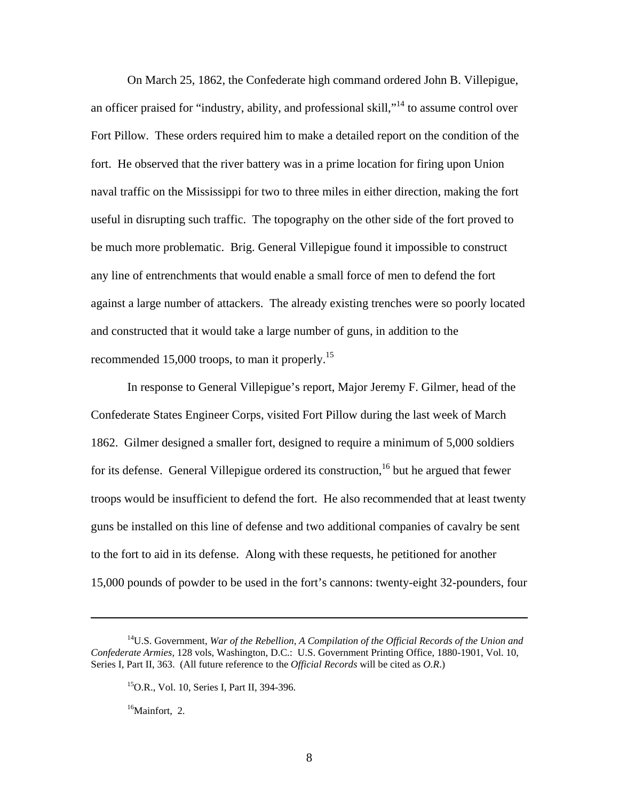On March 25, 1862, the Confederate high command ordered John B. Villepigue, an officer praised for "industry, ability, and professional skill,"<sup>14</sup> to assume control over Fort Pillow. These orders required him to make a detailed report on the condition of the fort. He observed that the river battery was in a prime location for firing upon Union naval traffic on the Mississippi for two to three miles in either direction, making the fort useful in disrupting such traffic. The topography on the other side of the fort proved to be much more problematic. Brig. General Villepigue found it impossible to construct any line of entrenchments that would enable a small force of men to defend the fort against a large number of attackers. The already existing trenches were so poorly located and constructed that it would take a large number of guns, in addition to the recommended 15,000 troops, to man it properly.<sup>15</sup>

In response to General Villepigue's report, Major Jeremy F. Gilmer, head of the Confederate States Engineer Corps, visited Fort Pillow during the last week of March 1862. Gilmer designed a smaller fort, designed to require a minimum of 5,000 soldiers for its defense. General Villepigue ordered its construction,<sup>16</sup> but he argued that fewer troops would be insufficient to defend the fort. He also recommended that at least twenty guns be installed on this line of defense and two additional companies of cavalry be sent to the fort to aid in its defense. Along with these requests, he petitioned for another 15,000 pounds of powder to be used in the fort's cannons: twenty-eight 32-pounders, four

<sup>16</sup>Mainfort, 2.

 $\overline{a}$ 

<sup>&</sup>lt;sup>14</sup>U.S. Government, *War of the Rebellion, A Compilation of the Official Records of the Union and Confederate Armies,* 128 vols, Washington, D.C.: U.S. Government Printing Office, 1880-1901, Vol. 10, Series I, Part II, 363. (All future reference to the *Official Records* will be cited as *O.R*.)

<sup>&</sup>lt;sup>15</sup>O.R., Vol. 10, Series I, Part II, 394-396.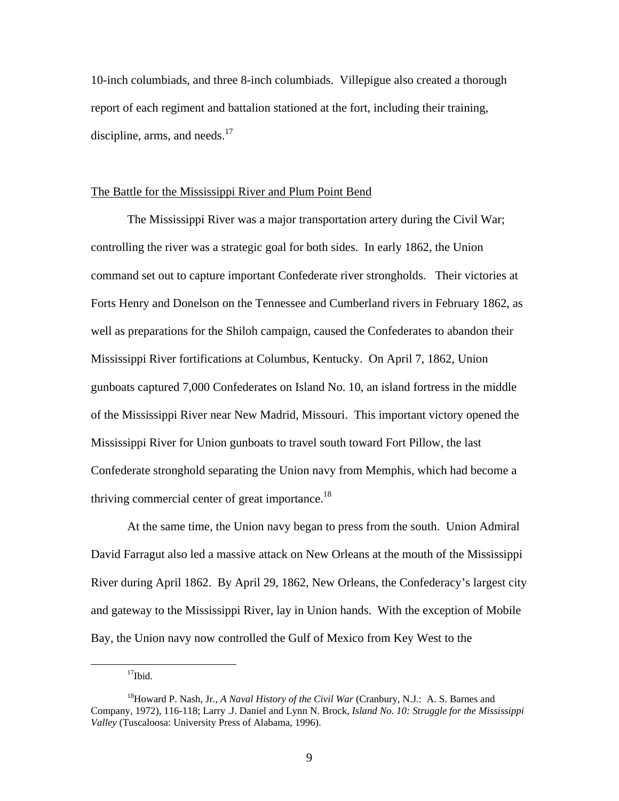10-inch columbiads, and three 8-inch columbiads. Villepigue also created a thorough report of each regiment and battalion stationed at the fort, including their training, discipline, arms, and needs. $17$ 

## The Battle for the Mississippi River and Plum Point Bend

The Mississippi River was a major transportation artery during the Civil War; controlling the river was a strategic goal for both sides. In early 1862, the Union command set out to capture important Confederate river strongholds. Their victories at Forts Henry and Donelson on the Tennessee and Cumberland rivers in February 1862, as well as preparations for the Shiloh campaign, caused the Confederates to abandon their Mississippi River fortifications at Columbus, Kentucky. On April 7, 1862, Union gunboats captured 7,000 Confederates on Island No. 10, an island fortress in the middle of the Mississippi River near New Madrid, Missouri. This important victory opened the Mississippi River for Union gunboats to travel south toward Fort Pillow, the last Confederate stronghold separating the Union navy from Memphis, which had become a thriving commercial center of great importance.<sup>18</sup>

At the same time, the Union navy began to press from the south. Union Admiral David Farragut also led a massive attack on New Orleans at the mouth of the Mississippi River during April 1862. By April 29, 1862, New Orleans, the Confederacy's largest city and gateway to the Mississippi River, lay in Union hands. With the exception of Mobile Bay, the Union navy now controlled the Gulf of Mexico from Key West to the

 $17$ Ibid.

<sup>&</sup>lt;sup>18</sup>Howard P. Nash, Jr., *A Naval History of the Civil War* (Cranbury, N.J.: A. S. Barnes and Company, 1972), 116-118; Larry .J. Daniel and Lynn N. Brock, *Island No. 10: Struggle for the Mississippi Valley* (Tuscaloosa: University Press of Alabama, 1996).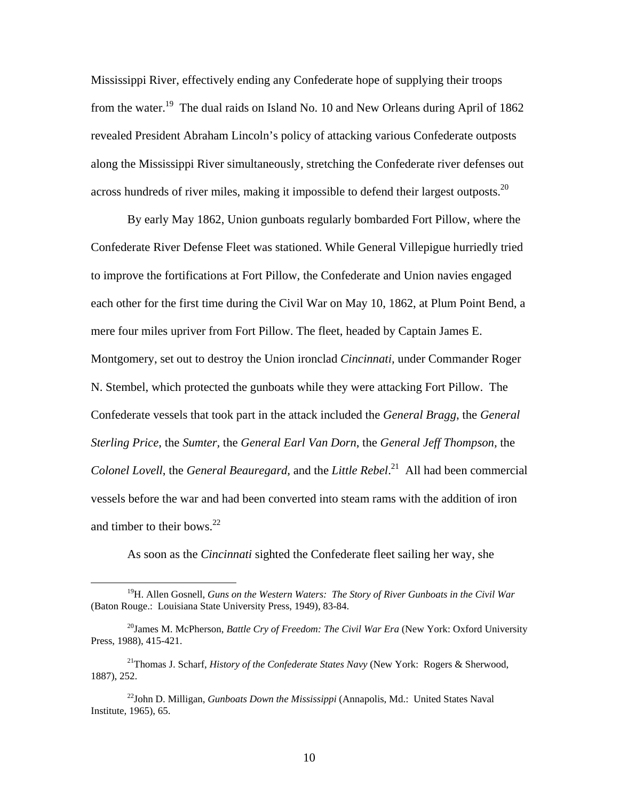Mississippi River, effectively ending any Confederate hope of supplying their troops from the water.<sup>19</sup> The dual raids on Island No. 10 and New Orleans during April of 1862 revealed President Abraham Lincoln's policy of attacking various Confederate outposts along the Mississippi River simultaneously, stretching the Confederate river defenses out across hundreds of river miles, making it impossible to defend their largest outposts.<sup>20</sup>

By early May 1862, Union gunboats regularly bombarded Fort Pillow, where the Confederate River Defense Fleet was stationed. While General Villepigue hurriedly tried to improve the fortifications at Fort Pillow, the Confederate and Union navies engaged each other for the first time during the Civil War on May 10, 1862, at Plum Point Bend, a mere four miles upriver from Fort Pillow. The fleet, headed by Captain James E. Montgomery, set out to destroy the Union ironclad *Cincinnati,* under Commander Roger N. Stembel, which protected the gunboats while they were attacking Fort Pillow. The Confederate vessels that took part in the attack included the *General Bragg*, the *General Sterling Price*, the *Sumter,* the *General Earl Van Dorn*, the *General Jeff Thompson,* the Colonel Lovell, the *General Beauregard*, and the *Little Rebel*<sup>21</sup> All had been commercial vessels before the war and had been converted into steam rams with the addition of iron and timber to their bows. $^{22}$ 

As soon as the *Cincinnati* sighted the Confederate fleet sailing her way, she

<sup>&</sup>lt;sup>19</sup>H. Allen Gosnell, *Guns on the Western Waters: The Story of River Gunboats in the Civil War* (Baton Rouge.: Louisiana State University Press, 1949), 83-84.

<sup>&</sup>lt;sup>20</sup>James M. McPherson, *Battle Cry of Freedom: The Civil War Era* (New York: Oxford University Press, 1988), 415-421.

<sup>21</sup>Thomas J. Scharf, *History of the Confederate States Navy* (New York: Rogers & Sherwood, 1887), 252.

<sup>&</sup>lt;sup>22</sup>John D. Milligan, *Gunboats Down the Mississippi* (Annapolis, Md.: United States Naval Institute, 1965), 65.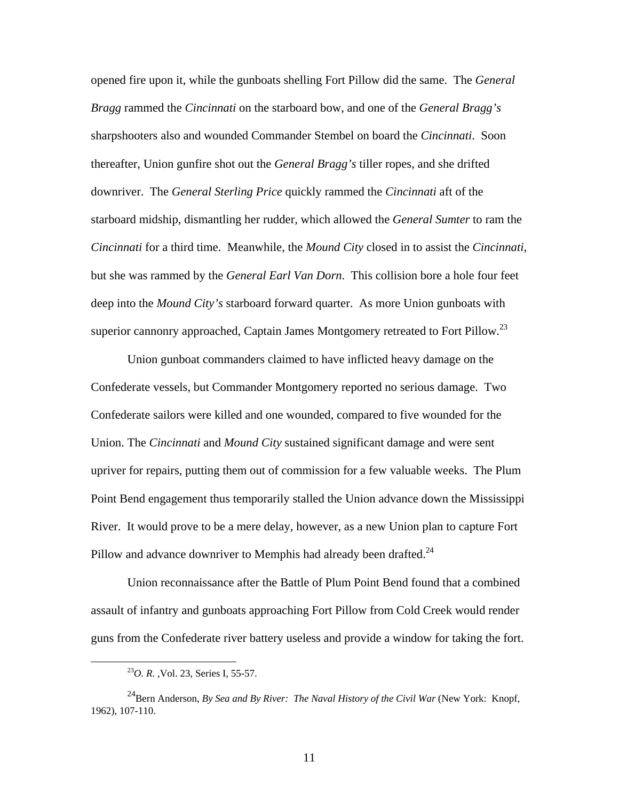opened fire upon it, while the gunboats shelling Fort Pillow did the same. The *General Bragg* rammed the *Cincinnati* on the starboard bow, and one of the *General Bragg's* sharpshooters also and wounded Commander Stembel on board the *Cincinnati*. Soon thereafter, Union gunfire shot out the *General Bragg's* tiller ropes, and she drifted downriver. The *General Sterling Price* quickly rammed the *Cincinnati* aft of the starboard midship, dismantling her rudder, which allowed the *General Sumter* to ram the *Cincinnati* for a third time. Meanwhile, the *Mound City* closed in to assist the *Cincinnati*, but she was rammed by the *General Earl Van Dorn*. This collision bore a hole four feet deep into the *Mound City's* starboard forward quarter. As more Union gunboats with superior cannonry approached, Captain James Montgomery retreated to Fort Pillow.<sup>23</sup>

Union gunboat commanders claimed to have inflicted heavy damage on the Confederate vessels, but Commander Montgomery reported no serious damage. Two Confederate sailors were killed and one wounded, compared to five wounded for the Union. The *Cincinnati* and *Mound City* sustained significant damage and were sent upriver for repairs, putting them out of commission for a few valuable weeks. The Plum Point Bend engagement thus temporarily stalled the Union advance down the Mississippi River. It would prove to be a mere delay, however, as a new Union plan to capture Fort Pillow and advance downriver to Memphis had already been drafted.<sup>24</sup>

Union reconnaissance after the Battle of Plum Point Bend found that a combined assault of infantry and gunboats approaching Fort Pillow from Cold Creek would render guns from the Confederate river battery useless and provide a window for taking the fort.

11

 <sup>23</sup>*O. R*. ,Vol. 23, Series I, 55-57.

<sup>&</sup>lt;sup>24</sup>Bern Anderson, *By Sea and By River: The Naval History of the Civil War* (New York: Knopf, 1962), 107-110.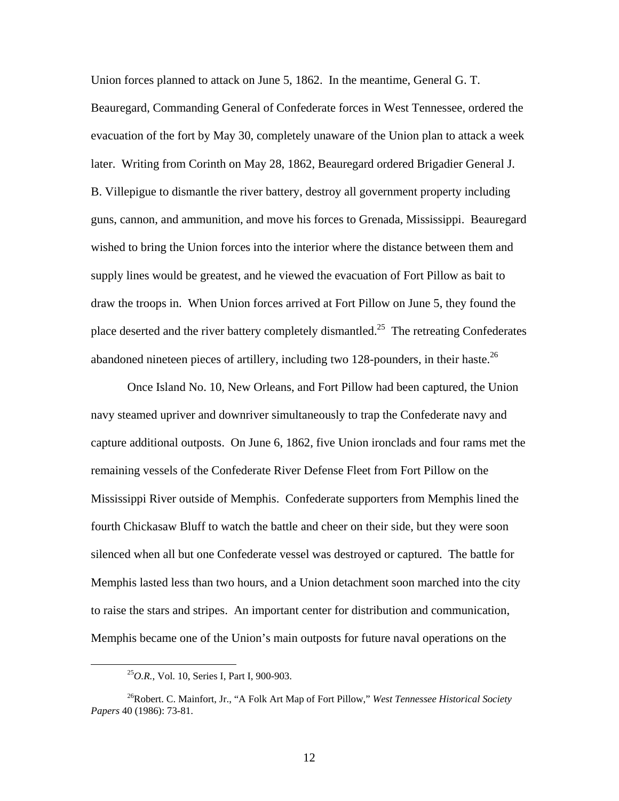Union forces planned to attack on June 5, 1862. In the meantime, General G. T. Beauregard, Commanding General of Confederate forces in West Tennessee, ordered the evacuation of the fort by May 30, completely unaware of the Union plan to attack a week later. Writing from Corinth on May 28, 1862, Beauregard ordered Brigadier General J. B. Villepigue to dismantle the river battery, destroy all government property including guns, cannon, and ammunition, and move his forces to Grenada, Mississippi. Beauregard wished to bring the Union forces into the interior where the distance between them and supply lines would be greatest, and he viewed the evacuation of Fort Pillow as bait to draw the troops in. When Union forces arrived at Fort Pillow on June 5, they found the place deserted and the river battery completely dismantled.<sup>25</sup> The retreating Confederates abandoned nineteen pieces of artillery, including two 128-pounders, in their haste.<sup>26</sup>

Once Island No. 10, New Orleans, and Fort Pillow had been captured, the Union navy steamed upriver and downriver simultaneously to trap the Confederate navy and capture additional outposts. On June 6, 1862, five Union ironclads and four rams met the remaining vessels of the Confederate River Defense Fleet from Fort Pillow on the Mississippi River outside of Memphis. Confederate supporters from Memphis lined the fourth Chickasaw Bluff to watch the battle and cheer on their side, but they were soon silenced when all but one Confederate vessel was destroyed or captured. The battle for Memphis lasted less than two hours, and a Union detachment soon marched into the city to raise the stars and stripes. An important center for distribution and communication, Memphis became one of the Union's main outposts for future naval operations on the

 <sup>25</sup>*O.R.*, Vol. 10, Series I, Part I, 900-903.

<sup>26</sup>Robert. C. Mainfort, Jr., "A Folk Art Map of Fort Pillow," *West Tennessee Historical Society Papers* 40 (1986): 73-81.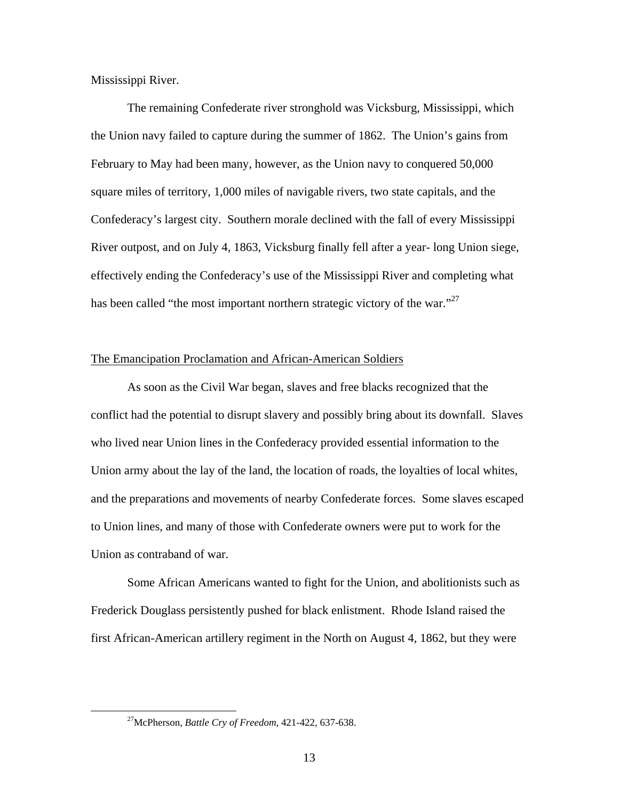Mississippi River.

The remaining Confederate river stronghold was Vicksburg, Mississippi, which the Union navy failed to capture during the summer of 1862. The Union's gains from February to May had been many, however, as the Union navy to conquered 50,000 square miles of territory, 1,000 miles of navigable rivers, two state capitals, and the Confederacy's largest city. Southern morale declined with the fall of every Mississippi River outpost, and on July 4, 1863, Vicksburg finally fell after a year- long Union siege, effectively ending the Confederacy's use of the Mississippi River and completing what has been called "the most important northern strategic victory of the war."<sup>27</sup>

### The Emancipation Proclamation and African-American Soldiers

As soon as the Civil War began, slaves and free blacks recognized that the conflict had the potential to disrupt slavery and possibly bring about its downfall. Slaves who lived near Union lines in the Confederacy provided essential information to the Union army about the lay of the land, the location of roads, the loyalties of local whites, and the preparations and movements of nearby Confederate forces. Some slaves escaped to Union lines, and many of those with Confederate owners were put to work for the Union as contraband of war.

Some African Americans wanted to fight for the Union, and abolitionists such as Frederick Douglass persistently pushed for black enlistment. Rhode Island raised the first African-American artillery regiment in the North on August 4, 1862, but they were

 <sup>27</sup>McPherson, *Battle Cry of Freedom,* 421-422, 637-638.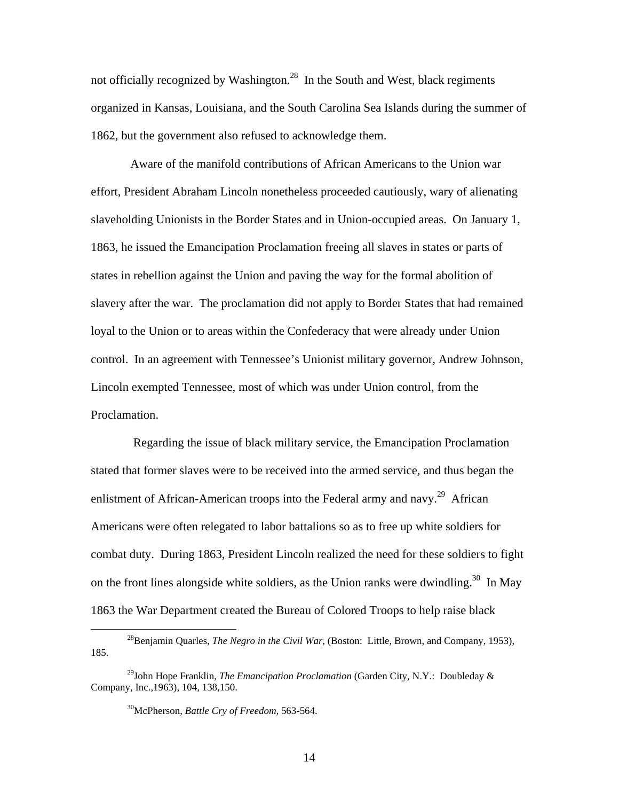not officially recognized by Washington.<sup>28</sup> In the South and West, black regiments organized in Kansas, Louisiana, and the South Carolina Sea Islands during the summer of 1862, but the government also refused to acknowledge them.

 Aware of the manifold contributions of African Americans to the Union war effort, President Abraham Lincoln nonetheless proceeded cautiously, wary of alienating slaveholding Unionists in the Border States and in Union-occupied areas. On January 1, 1863, he issued the Emancipation Proclamation freeing all slaves in states or parts of states in rebellion against the Union and paving the way for the formal abolition of slavery after the war. The proclamation did not apply to Border States that had remained loyal to the Union or to areas within the Confederacy that were already under Union control. In an agreement with Tennessee's Unionist military governor, Andrew Johnson, Lincoln exempted Tennessee, most of which was under Union control, from the Proclamation.

 Regarding the issue of black military service, the Emancipation Proclamation stated that former slaves were to be received into the armed service, and thus began the enlistment of African-American troops into the Federal army and navy.<sup>29</sup> African Americans were often relegated to labor battalions so as to free up white soldiers for combat duty. During 1863, President Lincoln realized the need for these soldiers to fight on the front lines alongside white soldiers, as the Union ranks were dwindling.<sup>30</sup> In May 1863 the War Department created the Bureau of Colored Troops to help raise black

<sup>&</sup>lt;sup>28</sup>Benjamin Quarles, *The Negro in the Civil War*, (Boston: Little, Brown, and Company, 1953), 185.

<sup>29</sup>John Hope Franklin, *The Emancipation Proclamation* (Garden City, N.Y.: Doubleday & Company, Inc.,1963), 104, 138,150.

<sup>30</sup>McPherson, *Battle Cry of Freedom,* 563-564.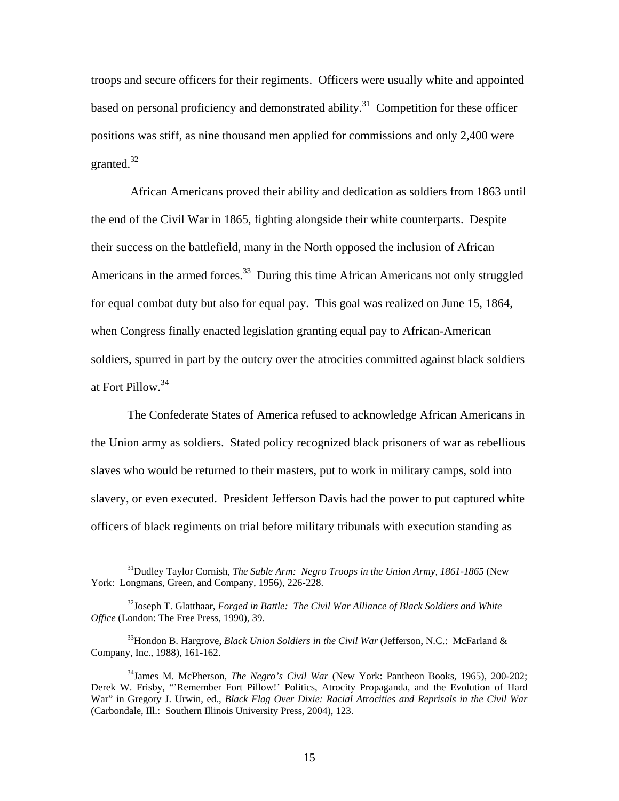troops and secure officers for their regiments. Officers were usually white and appointed based on personal proficiency and demonstrated ability.<sup>31</sup> Competition for these officer positions was stiff, as nine thousand men applied for commissions and only 2,400 were granted.<sup>32</sup>

 African Americans proved their ability and dedication as soldiers from 1863 until the end of the Civil War in 1865, fighting alongside their white counterparts. Despite their success on the battlefield, many in the North opposed the inclusion of African Americans in the armed forces.<sup>33</sup> During this time African Americans not only struggled for equal combat duty but also for equal pay. This goal was realized on June 15, 1864, when Congress finally enacted legislation granting equal pay to African-American soldiers, spurred in part by the outcry over the atrocities committed against black soldiers at Fort Pillow.<sup>34</sup>

The Confederate States of America refused to acknowledge African Americans in the Union army as soldiers. Stated policy recognized black prisoners of war as rebellious slaves who would be returned to their masters, put to work in military camps, sold into slavery, or even executed. President Jefferson Davis had the power to put captured white officers of black regiments on trial before military tribunals with execution standing as

 <sup>31</sup>Dudley Taylor Cornish, *The Sable Arm: Negro Troops in the Union Army, 1861-1865* (New York: Longmans, Green, and Company, 1956), 226-228.

 <sup>32</sup>Joseph T. Glatthaar, *Forged in Battle: The Civil War Alliance of Black Soldiers and White Office* (London: The Free Press, 1990), 39.

<sup>33</sup>Hondon B. Hargrove, *Black Union Soldiers in the Civil War* (Jefferson, N.C.: McFarland & Company, Inc., 1988), 161-162.

<sup>34</sup>James M. McPherson, *The Negro's Civil War* (New York: Pantheon Books, 1965), 200-202; Derek W. Frisby, "'Remember Fort Pillow!' Politics, Atrocity Propaganda, and the Evolution of Hard War" in Gregory J. Urwin, ed., *Black Flag Over Dixie: Racial Atrocities and Reprisals in the Civil War* (Carbondale, Ill.: Southern Illinois University Press, 2004), 123.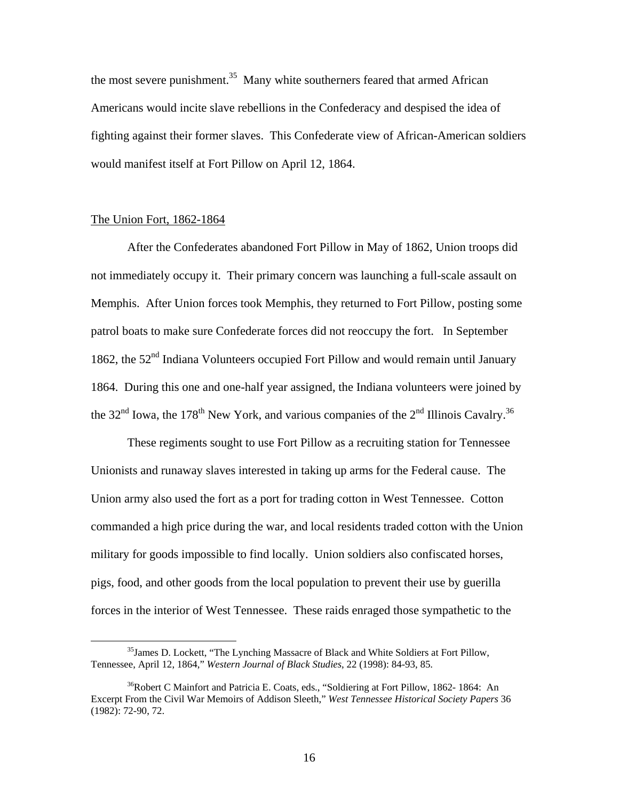the most severe punishment.<sup>35</sup> Many white southerners feared that armed African Americans would incite slave rebellions in the Confederacy and despised the idea of fighting against their former slaves. This Confederate view of African-American soldiers would manifest itself at Fort Pillow on April 12, 1864.

#### The Union Fort, 1862-1864

After the Confederates abandoned Fort Pillow in May of 1862, Union troops did not immediately occupy it. Their primary concern was launching a full-scale assault on Memphis. After Union forces took Memphis, they returned to Fort Pillow, posting some patrol boats to make sure Confederate forces did not reoccupy the fort. In September 1862, the  $52<sup>nd</sup>$  Indiana Volunteers occupied Fort Pillow and would remain until January 1864. During this one and one-half year assigned, the Indiana volunteers were joined by the  $32<sup>nd</sup>$  Iowa, the 178<sup>th</sup> New York, and various companies of the  $2<sup>nd</sup>$  Illinois Cavalry.<sup>36</sup>

 These regiments sought to use Fort Pillow as a recruiting station for Tennessee Unionists and runaway slaves interested in taking up arms for the Federal cause. The Union army also used the fort as a port for trading cotton in West Tennessee. Cotton commanded a high price during the war, and local residents traded cotton with the Union military for goods impossible to find locally. Union soldiers also confiscated horses, pigs, food, and other goods from the local population to prevent their use by guerilla forces in the interior of West Tennessee. These raids enraged those sympathetic to the

<sup>&</sup>lt;sup>35</sup> James D. Lockett, "The Lynching Massacre of Black and White Soldiers at Fort Pillow, Tennessee, April 12, 1864," *Western Journal of Black Studies*, 22 (1998): 84-93, 85.

<sup>&</sup>lt;sup>36</sup>Robert C Mainfort and Patricia E. Coats, eds., "Soldiering at Fort Pillow, 1862-1864: An Excerpt From the Civil War Memoirs of Addison Sleeth," *West Tennessee Historical Society Papers* 36 (1982): 72-90, 72.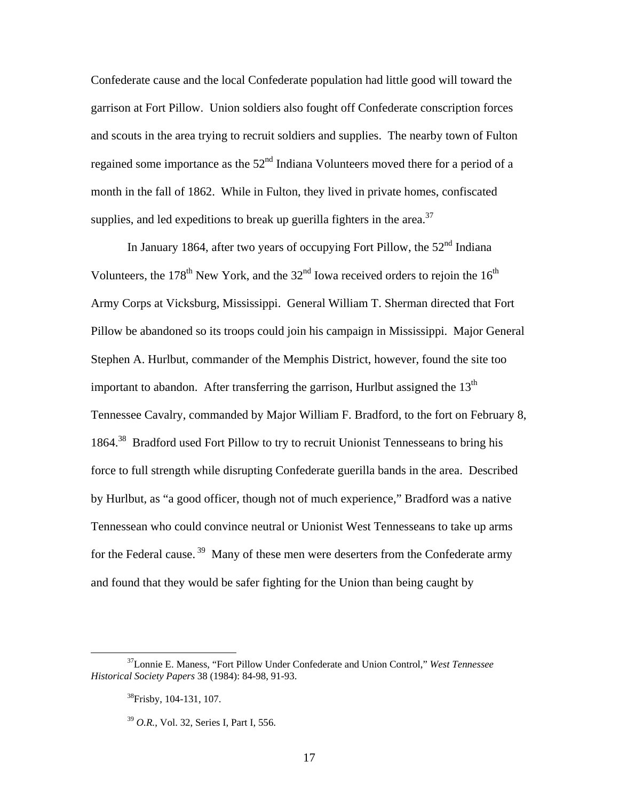Confederate cause and the local Confederate population had little good will toward the garrison at Fort Pillow. Union soldiers also fought off Confederate conscription forces and scouts in the area trying to recruit soldiers and supplies. The nearby town of Fulton regained some importance as the  $52<sup>nd</sup>$  Indiana Volunteers moved there for a period of a month in the fall of 1862. While in Fulton, they lived in private homes, confiscated supplies, and led expeditions to break up guerilla fighters in the area.<sup>37</sup>

In January 1864, after two years of occupying Fort Pillow, the  $52<sup>nd</sup>$  Indiana Volunteers, the 178<sup>th</sup> New York, and the  $32<sup>nd</sup>$  Iowa received orders to rejoin the  $16<sup>th</sup>$ Army Corps at Vicksburg, Mississippi. General William T. Sherman directed that Fort Pillow be abandoned so its troops could join his campaign in Mississippi. Major General Stephen A. Hurlbut, commander of the Memphis District, however, found the site too important to abandon. After transferring the garrison, Hurlbut assigned the  $13<sup>th</sup>$ Tennessee Cavalry, commanded by Major William F. Bradford, to the fort on February 8, 1864.38 Bradford used Fort Pillow to try to recruit Unionist Tennesseans to bring his force to full strength while disrupting Confederate guerilla bands in the area. Described by Hurlbut, as "a good officer, though not of much experience," Bradford was a native Tennessean who could convince neutral or Unionist West Tennesseans to take up arms for the Federal cause.<sup>39</sup> Many of these men were deserters from the Confederate army and found that they would be safer fighting for the Union than being caught by

 <sup>37</sup>Lonnie E. Maness, "Fort Pillow Under Confederate and Union Control," *West Tennessee Historical Society Papers* 38 (1984): 84-98, 91-93.

 $38$ Frisby, 104-131, 107.

<sup>39</sup> *O.R.*, Vol. 32, Series I, Part I, 556.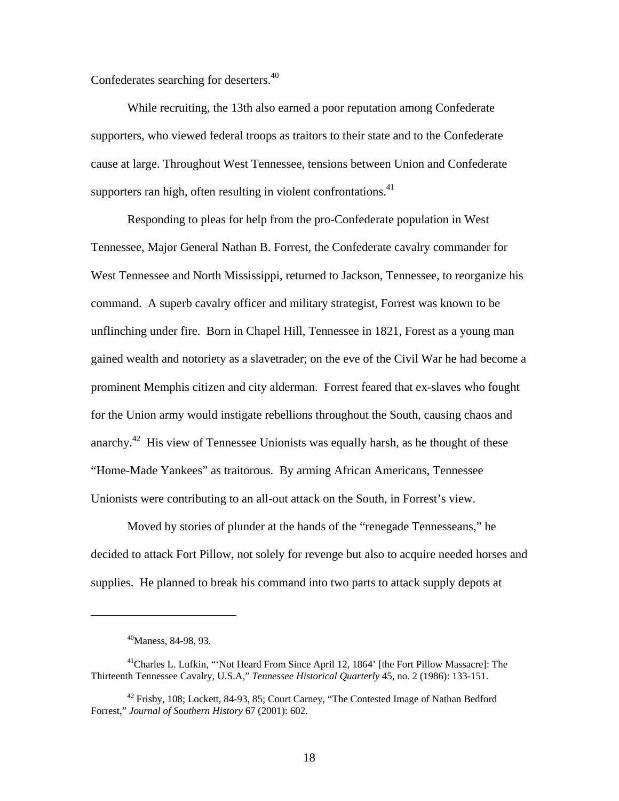Confederates searching for deserters.<sup>40</sup>

 While recruiting, the 13th also earned a poor reputation among Confederate supporters, who viewed federal troops as traitors to their state and to the Confederate cause at large. Throughout West Tennessee, tensions between Union and Confederate supporters ran high, often resulting in violent confrontations. $41$ 

 Responding to pleas for help from the pro-Confederate population in West Tennessee, Major General Nathan B. Forrest, the Confederate cavalry commander for West Tennessee and North Mississippi, returned to Jackson, Tennessee, to reorganize his command. A superb cavalry officer and military strategist, Forrest was known to be unflinching under fire. Born in Chapel Hill, Tennessee in 1821, Forest as a young man gained wealth and notoriety as a slavetrader; on the eve of the Civil War he had become a prominent Memphis citizen and city alderman. Forrest feared that ex-slaves who fought for the Union army would instigate rebellions throughout the South, causing chaos and anarchy.<sup>42</sup> His view of Tennessee Unionists was equally harsh, as he thought of these "Home-Made Yankees" as traitorous. By arming African Americans, Tennessee Unionists were contributing to an all-out attack on the South, in Forrest's view.

Moved by stories of plunder at the hands of the "renegade Tennesseans," he decided to attack Fort Pillow, not solely for revenge but also to acquire needed horses and supplies. He planned to break his command into two parts to attack supply depots at

1

<sup>40</sup>Maness, 84-98, 93.

<sup>&</sup>lt;sup>41</sup>Charles L. Lufkin, "'Not Heard From Since April 12, 1864' [the Fort Pillow Massacre]: The Thirteenth Tennessee Cavalry, U.S.A," *Tennessee Historical Quarterly* 45, no. 2 (1986): 133-151.

<sup>&</sup>lt;sup>42</sup> Frisby, 108; Lockett, 84-93, 85; Court Carney, "The Contested Image of Nathan Bedford Forrest," *Journal of Southern History* 67 (2001): 602.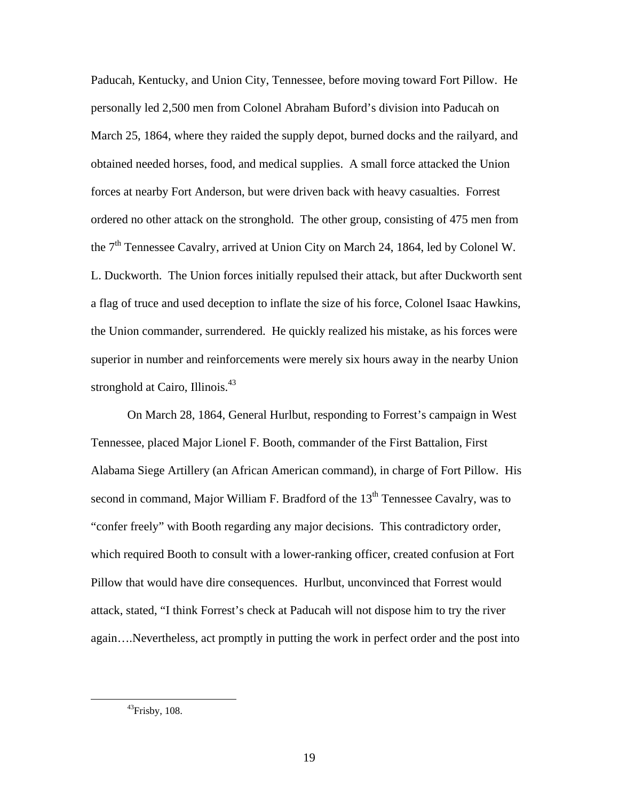Paducah, Kentucky, and Union City, Tennessee, before moving toward Fort Pillow. He personally led 2,500 men from Colonel Abraham Buford's division into Paducah on March 25, 1864, where they raided the supply depot, burned docks and the railyard, and obtained needed horses, food, and medical supplies. A small force attacked the Union forces at nearby Fort Anderson, but were driven back with heavy casualties. Forrest ordered no other attack on the stronghold. The other group, consisting of 475 men from the 7<sup>th</sup> Tennessee Cavalry, arrived at Union City on March 24, 1864, led by Colonel W. L. Duckworth. The Union forces initially repulsed their attack, but after Duckworth sent a flag of truce and used deception to inflate the size of his force, Colonel Isaac Hawkins, the Union commander, surrendered. He quickly realized his mistake, as his forces were superior in number and reinforcements were merely six hours away in the nearby Union stronghold at Cairo, Illinois.<sup>43</sup>

 On March 28, 1864, General Hurlbut, responding to Forrest's campaign in West Tennessee, placed Major Lionel F. Booth, commander of the First Battalion, First Alabama Siege Artillery (an African American command), in charge of Fort Pillow. His second in command, Major William F. Bradford of the  $13<sup>th</sup>$  Tennessee Cavalry, was to "confer freely" with Booth regarding any major decisions. This contradictory order, which required Booth to consult with a lower-ranking officer, created confusion at Fort Pillow that would have dire consequences. Hurlbut, unconvinced that Forrest would attack, stated, "I think Forrest's check at Paducah will not dispose him to try the river again….Nevertheless, act promptly in putting the work in perfect order and the post into

 $43$ Frisby, 108.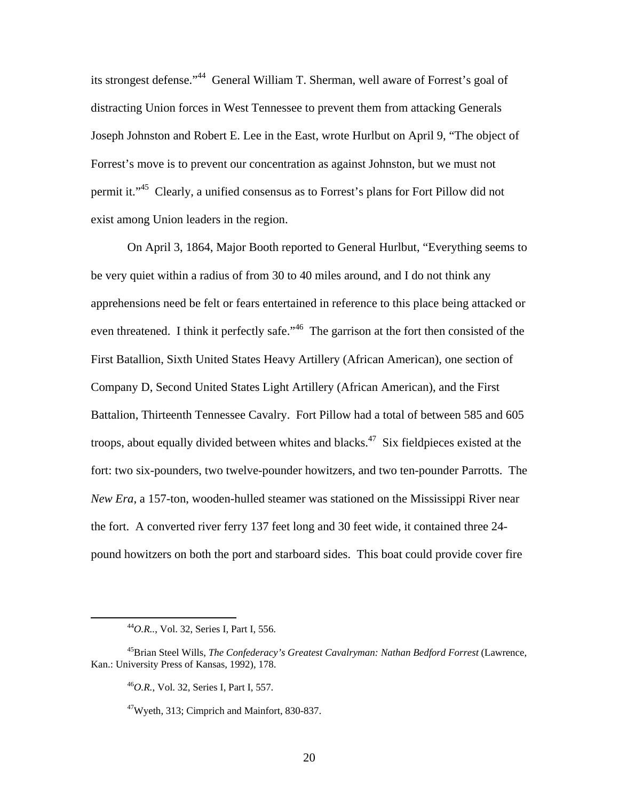its strongest defense."44 General William T. Sherman, well aware of Forrest's goal of distracting Union forces in West Tennessee to prevent them from attacking Generals Joseph Johnston and Robert E. Lee in the East, wrote Hurlbut on April 9, "The object of Forrest's move is to prevent our concentration as against Johnston, but we must not permit it."<sup>45</sup> Clearly, a unified consensus as to Forrest's plans for Fort Pillow did not exist among Union leaders in the region.

 On April 3, 1864, Major Booth reported to General Hurlbut, "Everything seems to be very quiet within a radius of from 30 to 40 miles around, and I do not think any apprehensions need be felt or fears entertained in reference to this place being attacked or even threatened. I think it perfectly safe."<sup>46</sup> The garrison at the fort then consisted of the First Batallion, Sixth United States Heavy Artillery (African American), one section of Company D, Second United States Light Artillery (African American), and the First Battalion, Thirteenth Tennessee Cavalry. Fort Pillow had a total of between 585 and 605 troops, about equally divided between whites and blacks.<sup>47</sup> Six fieldpieces existed at the fort: two six-pounders, two twelve-pounder howitzers, and two ten-pounder Parrotts. The *New Era*, a 157-ton, wooden-hulled steamer was stationed on the Mississippi River near the fort. A converted river ferry 137 feet long and 30 feet wide, it contained three 24 pound howitzers on both the port and starboard sides. This boat could provide cover fire

 <sup>44</sup>*O.R..*, Vol. 32, Series I, Part I, 556.

<sup>45</sup>Brian Steel Wills, *The Confederacy's Greatest Cavalryman: Nathan Bedford Forrest* (Lawrence, Kan.: University Press of Kansas, 1992), 178.

<sup>46</sup>*O.R.*, Vol. 32, Series I, Part I, 557.

<sup>47</sup>Wyeth, 313; Cimprich and Mainfort, 830-837.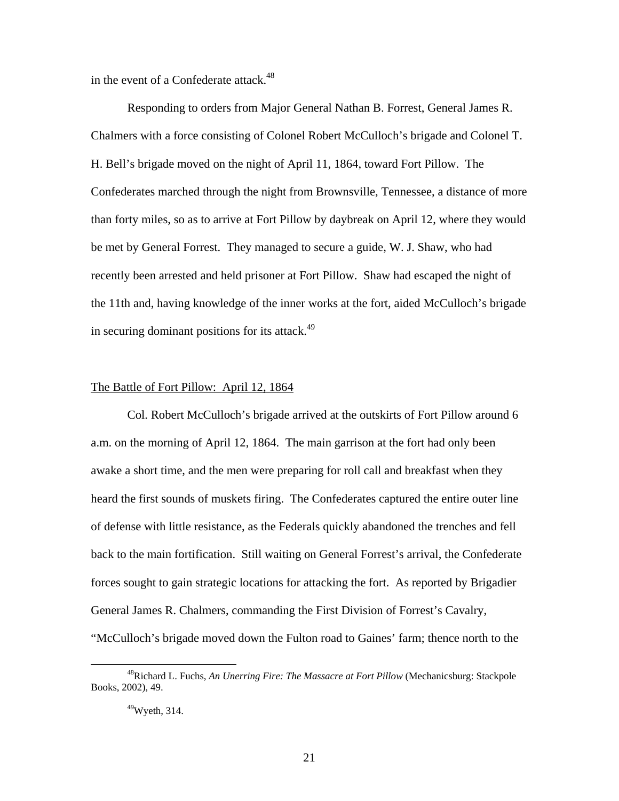in the event of a Confederate attack.<sup>48</sup>

 Responding to orders from Major General Nathan B. Forrest, General James R. Chalmers with a force consisting of Colonel Robert McCulloch's brigade and Colonel T. H. Bell's brigade moved on the night of April 11, 1864, toward Fort Pillow. The Confederates marched through the night from Brownsville, Tennessee, a distance of more than forty miles, so as to arrive at Fort Pillow by daybreak on April 12, where they would be met by General Forrest. They managed to secure a guide, W. J. Shaw, who had recently been arrested and held prisoner at Fort Pillow. Shaw had escaped the night of the 11th and, having knowledge of the inner works at the fort, aided McCulloch's brigade in securing dominant positions for its attack. $49$ 

# The Battle of Fort Pillow: April 12, 1864

 Col. Robert McCulloch's brigade arrived at the outskirts of Fort Pillow around 6 a.m. on the morning of April 12, 1864. The main garrison at the fort had only been awake a short time, and the men were preparing for roll call and breakfast when they heard the first sounds of muskets firing. The Confederates captured the entire outer line of defense with little resistance, as the Federals quickly abandoned the trenches and fell back to the main fortification. Still waiting on General Forrest's arrival, the Confederate forces sought to gain strategic locations for attacking the fort. As reported by Brigadier General James R. Chalmers, commanding the First Division of Forrest's Cavalry, "McCulloch's brigade moved down the Fulton road to Gaines' farm; thence north to the

 <sup>48</sup>Richard L. Fuchs, *An Unerring Fire: The Massacre at Fort Pillow* (Mechanicsburg: Stackpole Books, 2002), 49.

 $49$ Wyeth, 314.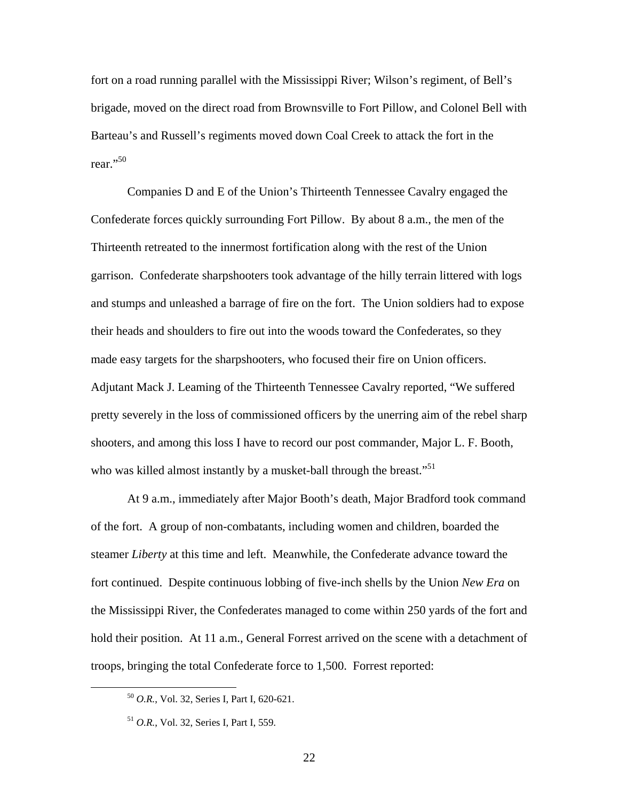fort on a road running parallel with the Mississippi River; Wilson's regiment, of Bell's brigade, moved on the direct road from Brownsville to Fort Pillow, and Colonel Bell with Barteau's and Russell's regiments moved down Coal Creek to attack the fort in the rear."50

 Companies D and E of the Union's Thirteenth Tennessee Cavalry engaged the Confederate forces quickly surrounding Fort Pillow. By about 8 a.m., the men of the Thirteenth retreated to the innermost fortification along with the rest of the Union garrison. Confederate sharpshooters took advantage of the hilly terrain littered with logs and stumps and unleashed a barrage of fire on the fort. The Union soldiers had to expose their heads and shoulders to fire out into the woods toward the Confederates, so they made easy targets for the sharpshooters, who focused their fire on Union officers. Adjutant Mack J. Leaming of the Thirteenth Tennessee Cavalry reported, "We suffered pretty severely in the loss of commissioned officers by the unerring aim of the rebel sharp shooters, and among this loss I have to record our post commander, Major L. F. Booth, who was killed almost instantly by a musket-ball through the breast."<sup>51</sup>

At 9 a.m., immediately after Major Booth's death, Major Bradford took command of the fort. A group of non-combatants, including women and children, boarded the steamer *Liberty* at this time and left. Meanwhile, the Confederate advance toward the fort continued. Despite continuous lobbing of five-inch shells by the Union *New Era* on the Mississippi River, the Confederates managed to come within 250 yards of the fort and hold their position. At 11 a.m., General Forrest arrived on the scene with a detachment of troops, bringing the total Confederate force to 1,500. Forrest reported:

 <sup>50</sup> *O.R.*, Vol. 32, Series I, Part I, 620-621.

<sup>51</sup> *O.R.*, Vol. 32, Series I, Part I, 559.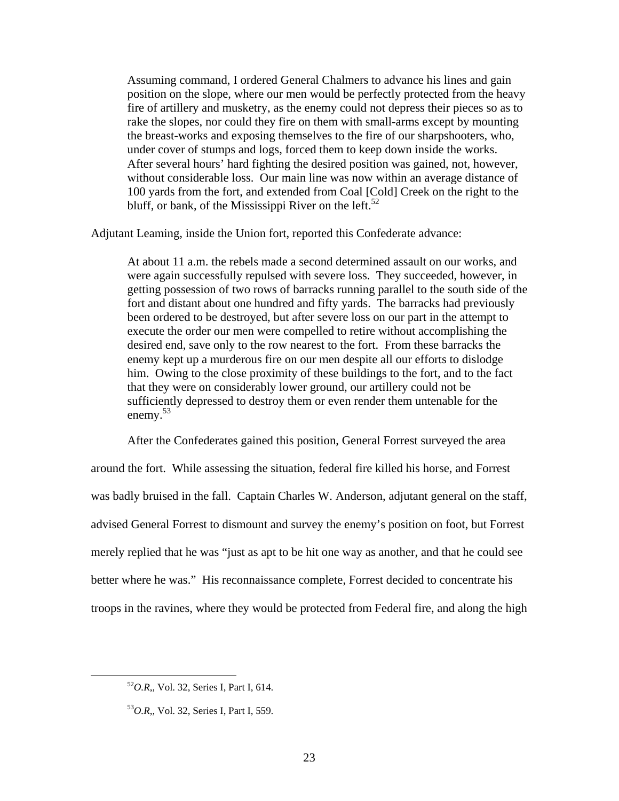Assuming command, I ordered General Chalmers to advance his lines and gain position on the slope, where our men would be perfectly protected from the heavy fire of artillery and musketry, as the enemy could not depress their pieces so as to rake the slopes, nor could they fire on them with small-arms except by mounting the breast-works and exposing themselves to the fire of our sharpshooters, who, under cover of stumps and logs, forced them to keep down inside the works. After several hours' hard fighting the desired position was gained, not, however, without considerable loss. Our main line was now within an average distance of 100 yards from the fort, and extended from Coal [Cold] Creek on the right to the bluff, or bank, of the Mississippi River on the left.<sup>52</sup>

Adjutant Leaming, inside the Union fort, reported this Confederate advance:

At about 11 a.m. the rebels made a second determined assault on our works, and were again successfully repulsed with severe loss. They succeeded, however, in getting possession of two rows of barracks running parallel to the south side of the fort and distant about one hundred and fifty yards. The barracks had previously been ordered to be destroyed, but after severe loss on our part in the attempt to execute the order our men were compelled to retire without accomplishing the desired end, save only to the row nearest to the fort. From these barracks the enemy kept up a murderous fire on our men despite all our efforts to dislodge him. Owing to the close proximity of these buildings to the fort, and to the fact that they were on considerably lower ground, our artillery could not be sufficiently depressed to destroy them or even render them untenable for the enemy.<sup>53</sup>

 After the Confederates gained this position, General Forrest surveyed the area around the fort. While assessing the situation, federal fire killed his horse, and Forrest was badly bruised in the fall. Captain Charles W. Anderson, adjutant general on the staff, advised General Forrest to dismount and survey the enemy's position on foot, but Forrest merely replied that he was "just as apt to be hit one way as another, and that he could see better where he was." His reconnaissance complete, Forrest decided to concentrate his troops in the ravines, where they would be protected from Federal fire, and along the high

 <sup>52</sup>*O.R*,*,* Vol. 32, Series I, Part I, 614.

<sup>53</sup>*O.R*,*,* Vol. 32, Series I, Part I, 559.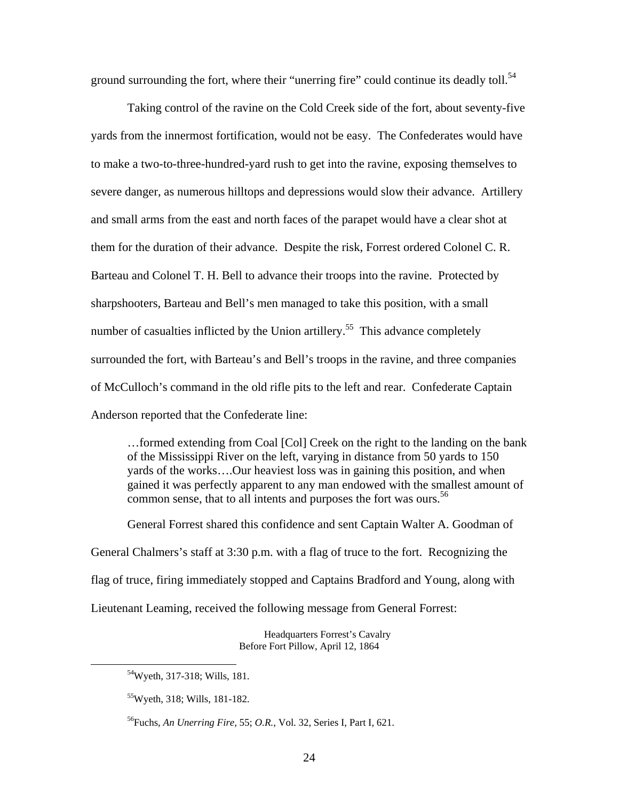ground surrounding the fort, where their "unerring fire" could continue its deadly toll.<sup>54</sup>

 Taking control of the ravine on the Cold Creek side of the fort, about seventy-five yards from the innermost fortification, would not be easy. The Confederates would have to make a two-to-three-hundred-yard rush to get into the ravine, exposing themselves to severe danger, as numerous hilltops and depressions would slow their advance. Artillery and small arms from the east and north faces of the parapet would have a clear shot at them for the duration of their advance. Despite the risk, Forrest ordered Colonel C. R. Barteau and Colonel T. H. Bell to advance their troops into the ravine. Protected by sharpshooters, Barteau and Bell's men managed to take this position, with a small number of casualties inflicted by the Union artillery.<sup>55</sup> This advance completely surrounded the fort, with Barteau's and Bell's troops in the ravine, and three companies of McCulloch's command in the old rifle pits to the left and rear. Confederate Captain Anderson reported that the Confederate line:

…formed extending from Coal [Col] Creek on the right to the landing on the bank of the Mississippi River on the left, varying in distance from 50 yards to 150 yards of the works….Our heaviest loss was in gaining this position, and when gained it was perfectly apparent to any man endowed with the smallest amount of common sense, that to all intents and purposes the fort was ours.<sup>56</sup>

General Forrest shared this confidence and sent Captain Walter A. Goodman of General Chalmers's staff at 3:30 p.m. with a flag of truce to the fort. Recognizing the flag of truce, firing immediately stopped and Captains Bradford and Young, along with Lieutenant Leaming, received the following message from General Forrest:

> Headquarters Forrest's Cavalry Before Fort Pillow, April 12, 1864

55Wyeth, 318; Wills, 181-182.

 <sup>54</sup>Wyeth, 317-318; Wills, 181.

<sup>56</sup>Fuchs, *An Unerring Fire,* 55; *O.R.*, Vol. 32, Series I, Part I, 621.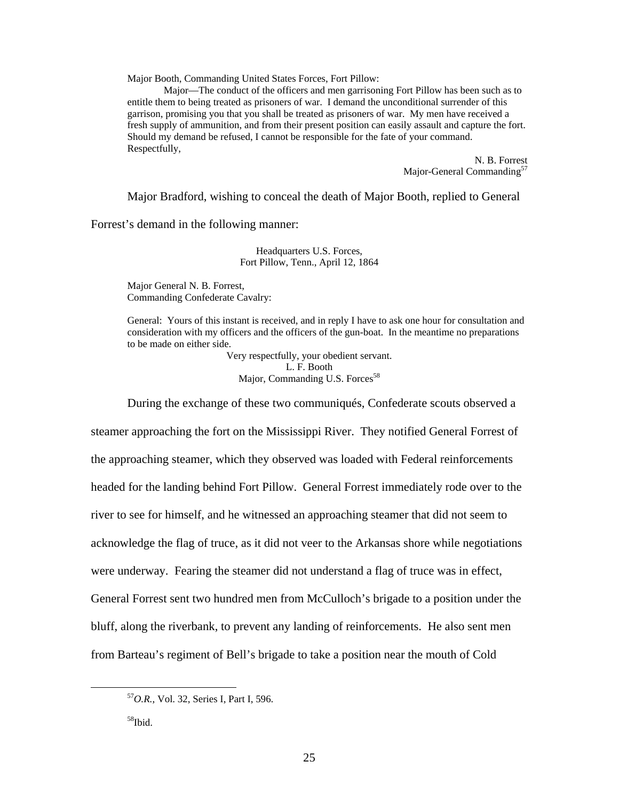Major Booth, Commanding United States Forces, Fort Pillow:

 Major—The conduct of the officers and men garrisoning Fort Pillow has been such as to entitle them to being treated as prisoners of war. I demand the unconditional surrender of this garrison, promising you that you shall be treated as prisoners of war. My men have received a fresh supply of ammunition, and from their present position can easily assault and capture the fort. Should my demand be refused, I cannot be responsible for the fate of your command. Respectfully,

> N. B. Forrest Major-General Commanding<sup>57</sup>

Major Bradford, wishing to conceal the death of Major Booth, replied to General

Forrest's demand in the following manner:

Headquarters U.S. Forces, Fort Pillow, Tenn., April 12, 1864

Major General N. B. Forrest, Commanding Confederate Cavalry:

General: Yours of this instant is received, and in reply I have to ask one hour for consultation and consideration with my officers and the officers of the gun-boat. In the meantime no preparations to be made on either side.

Very respectfully, your obedient servant. L. F. Booth Major, Commanding U.S. Forces<sup>58</sup>

 During the exchange of these two communiqués, Confederate scouts observed a steamer approaching the fort on the Mississippi River. They notified General Forrest of the approaching steamer, which they observed was loaded with Federal reinforcements headed for the landing behind Fort Pillow. General Forrest immediately rode over to the river to see for himself, and he witnessed an approaching steamer that did not seem to acknowledge the flag of truce, as it did not veer to the Arkansas shore while negotiations were underway. Fearing the steamer did not understand a flag of truce was in effect, General Forrest sent two hundred men from McCulloch's brigade to a position under the bluff, along the riverbank, to prevent any landing of reinforcements. He also sent men from Barteau's regiment of Bell's brigade to take a position near the mouth of Cold

 <sup>57</sup>*O.R.*, Vol. 32, Series I, Part I, 596.

 $58$ Ibid.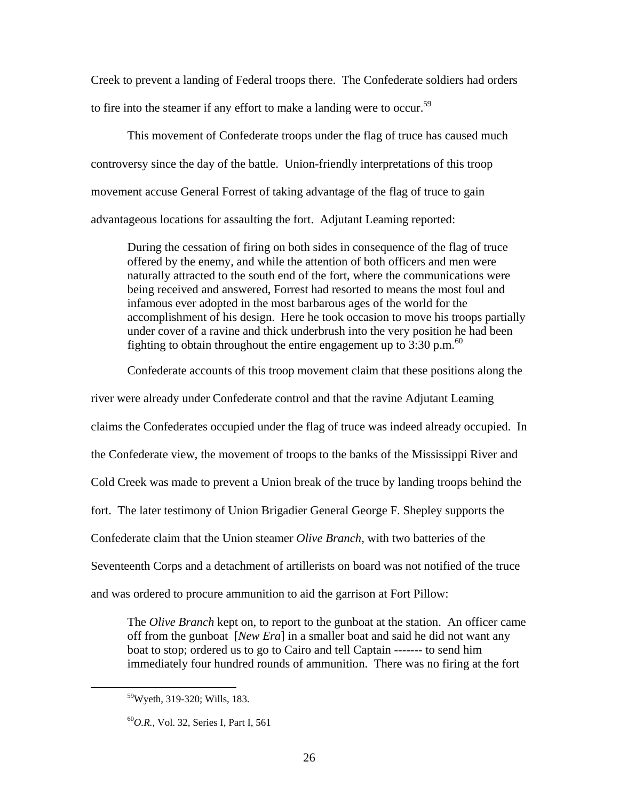Creek to prevent a landing of Federal troops there. The Confederate soldiers had orders to fire into the steamer if any effort to make a landing were to occur.<sup>59</sup>

 This movement of Confederate troops under the flag of truce has caused much controversy since the day of the battle. Union-friendly interpretations of this troop movement accuse General Forrest of taking advantage of the flag of truce to gain advantageous locations for assaulting the fort. Adjutant Leaming reported:

During the cessation of firing on both sides in consequence of the flag of truce offered by the enemy, and while the attention of both officers and men were naturally attracted to the south end of the fort, where the communications were being received and answered, Forrest had resorted to means the most foul and infamous ever adopted in the most barbarous ages of the world for the accomplishment of his design. Here he took occasion to move his troops partially under cover of a ravine and thick underbrush into the very position he had been fighting to obtain throughout the entire engagement up to  $3:30$  p.m.<sup>60</sup>

Confederate accounts of this troop movement claim that these positions along the

river were already under Confederate control and that the ravine Adjutant Leaming claims the Confederates occupied under the flag of truce was indeed already occupied. In the Confederate view, the movement of troops to the banks of the Mississippi River and Cold Creek was made to prevent a Union break of the truce by landing troops behind the fort. The later testimony of Union Brigadier General George F. Shepley supports the Confederate claim that the Union steamer *Olive Branch,* with two batteries of the Seventeenth Corps and a detachment of artillerists on board was not notified of the truce and was ordered to procure ammunition to aid the garrison at Fort Pillow:

The *Olive Branch* kept on, to report to the gunboat at the station. An officer came off from the gunboat [*New Era*] in a smaller boat and said he did not want any boat to stop; ordered us to go to Cairo and tell Captain ------- to send him immediately four hundred rounds of ammunition. There was no firing at the fort

 <sup>59</sup>Wyeth*,* 319-320; Wills, 183.

<sup>60</sup>*O.R.*, Vol. 32, Series I, Part I, 561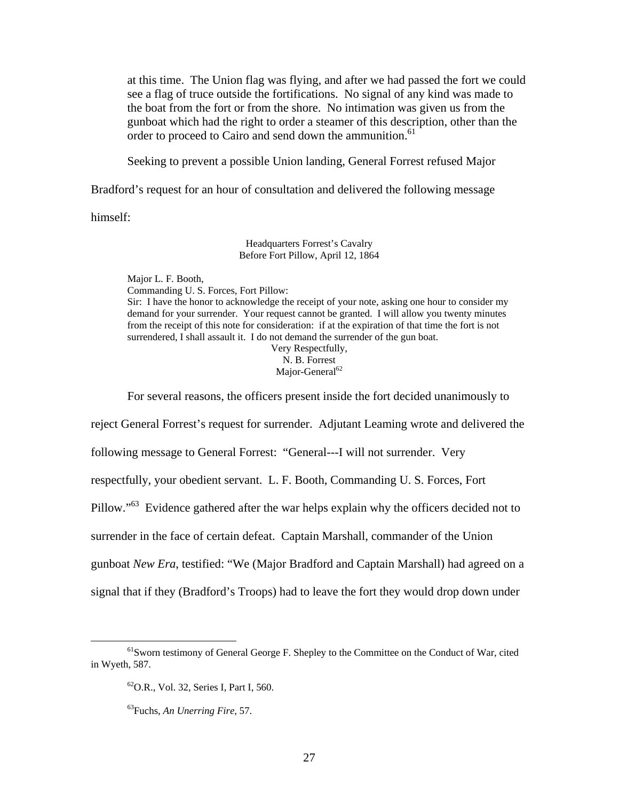at this time. The Union flag was flying, and after we had passed the fort we could see a flag of truce outside the fortifications. No signal of any kind was made to the boat from the fort or from the shore. No intimation was given us from the gunboat which had the right to order a steamer of this description, other than the order to proceed to Cairo and send down the ammunition.<sup>61</sup>

Seeking to prevent a possible Union landing, General Forrest refused Major

Bradford's request for an hour of consultation and delivered the following message

himself:

Headquarters Forrest's Cavalry Before Fort Pillow, April 12, 1864

Major L. F. Booth,

Commanding U. S. Forces, Fort Pillow:

Sir: I have the honor to acknowledge the receipt of your note, asking one hour to consider my demand for your surrender. Your request cannot be granted. I will allow you twenty minutes from the receipt of this note for consideration: if at the expiration of that time the fort is not surrendered, I shall assault it. I do not demand the surrender of the gun boat.

Very Respectfully, N. B. Forrest Major-General<sup>62</sup>

For several reasons, the officers present inside the fort decided unanimously to

reject General Forrest's request for surrender. Adjutant Leaming wrote and delivered the following message to General Forrest: "General---I will not surrender. Very respectfully, your obedient servant. L. F. Booth, Commanding U. S. Forces, Fort Pillow."<sup>63</sup> Evidence gathered after the war helps explain why the officers decided not to surrender in the face of certain defeat. Captain Marshall, commander of the Union gunboat *New Era*, testified: "We (Major Bradford and Captain Marshall) had agreed on a signal that if they (Bradford's Troops) had to leave the fort they would drop down under

 $<sup>61</sup>$ Sworn testimony of General George F. Shepley to the Committee on the Conduct of War, cited</sup> in Wyeth, 587.

 ${}^{62}$ O.R., Vol. 32, Series I, Part I, 560.

<sup>63</sup>Fuchs, *An Unerring Fire*, 57.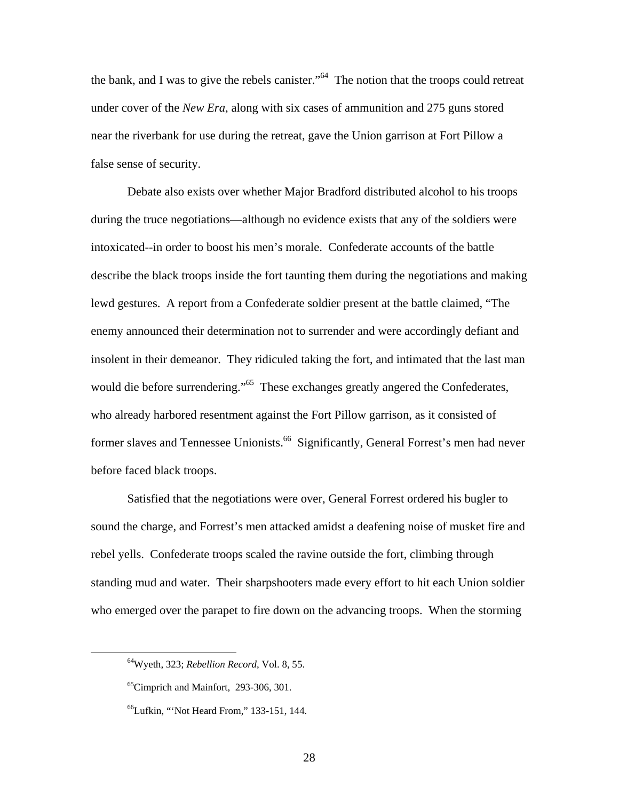the bank, and I was to give the rebels canister."64 The notion that the troops could retreat under cover of the *New Era*, along with six cases of ammunition and 275 guns stored near the riverbank for use during the retreat, gave the Union garrison at Fort Pillow a false sense of security.

 Debate also exists over whether Major Bradford distributed alcohol to his troops during the truce negotiations—although no evidence exists that any of the soldiers were intoxicated--in order to boost his men's morale. Confederate accounts of the battle describe the black troops inside the fort taunting them during the negotiations and making lewd gestures. A report from a Confederate soldier present at the battle claimed, "The enemy announced their determination not to surrender and were accordingly defiant and insolent in their demeanor. They ridiculed taking the fort, and intimated that the last man would die before surrendering."<sup>65</sup> These exchanges greatly angered the Confederates, who already harbored resentment against the Fort Pillow garrison, as it consisted of former slaves and Tennessee Unionists.<sup>66</sup> Significantly, General Forrest's men had never before faced black troops.

 Satisfied that the negotiations were over, General Forrest ordered his bugler to sound the charge, and Forrest's men attacked amidst a deafening noise of musket fire and rebel yells. Confederate troops scaled the ravine outside the fort, climbing through standing mud and water. Their sharpshooters made every effort to hit each Union soldier who emerged over the parapet to fire down on the advancing troops. When the storming

 <sup>64</sup>Wyeth, 323; *Rebellion Record*, Vol. 8, 55.

 $^{65}$ Cimprich and Mainfort, 293-306, 301.

 <sup>66</sup>Lufkin, "'Not Heard From," 133-151, 144.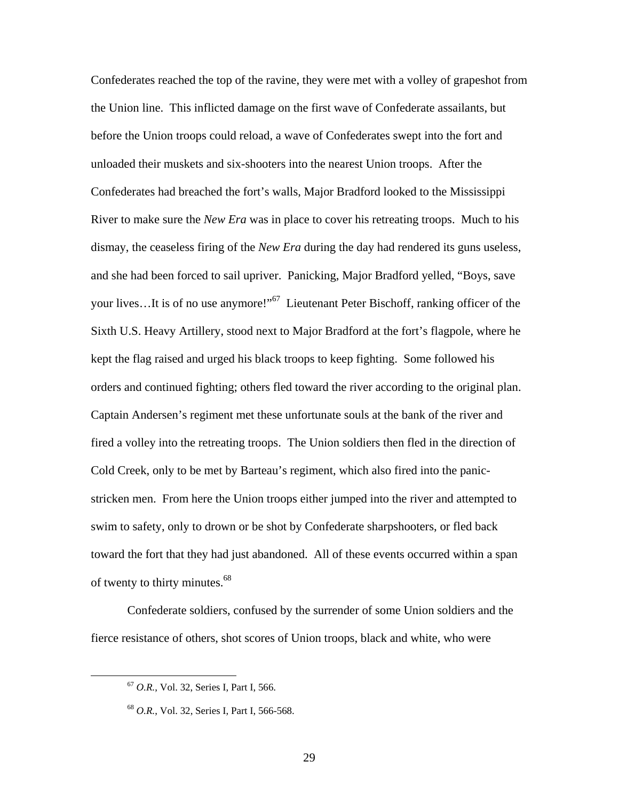Confederates reached the top of the ravine, they were met with a volley of grapeshot from the Union line. This inflicted damage on the first wave of Confederate assailants, but before the Union troops could reload, a wave of Confederates swept into the fort and unloaded their muskets and six-shooters into the nearest Union troops. After the Confederates had breached the fort's walls, Major Bradford looked to the Mississippi River to make sure the *New Era* was in place to cover his retreating troops. Much to his dismay, the ceaseless firing of the *New Era* during the day had rendered its guns useless, and she had been forced to sail upriver. Panicking, Major Bradford yelled, "Boys, save your lives...It is of no use anymore!"<sup>67</sup> Lieutenant Peter Bischoff, ranking officer of the Sixth U.S. Heavy Artillery, stood next to Major Bradford at the fort's flagpole, where he kept the flag raised and urged his black troops to keep fighting. Some followed his orders and continued fighting; others fled toward the river according to the original plan. Captain Andersen's regiment met these unfortunate souls at the bank of the river and fired a volley into the retreating troops. The Union soldiers then fled in the direction of Cold Creek, only to be met by Barteau's regiment, which also fired into the panicstricken men. From here the Union troops either jumped into the river and attempted to swim to safety, only to drown or be shot by Confederate sharpshooters, or fled back toward the fort that they had just abandoned. All of these events occurred within a span of twenty to thirty minutes.<sup>68</sup>

 Confederate soldiers, confused by the surrender of some Union soldiers and the fierce resistance of others, shot scores of Union troops, black and white, who were

29

 <sup>67</sup> *O.R.*, Vol. 32, Series I, Part I, 566.

<sup>68</sup> *O.R.*, Vol. 32, Series I, Part I, 566-568.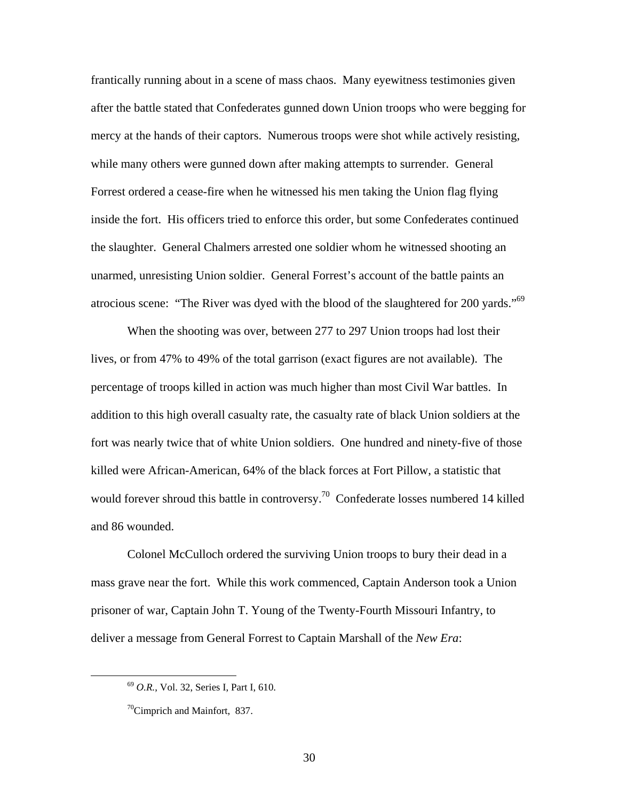frantically running about in a scene of mass chaos. Many eyewitness testimonies given after the battle stated that Confederates gunned down Union troops who were begging for mercy at the hands of their captors. Numerous troops were shot while actively resisting, while many others were gunned down after making attempts to surrender. General Forrest ordered a cease-fire when he witnessed his men taking the Union flag flying inside the fort. His officers tried to enforce this order, but some Confederates continued the slaughter. General Chalmers arrested one soldier whom he witnessed shooting an unarmed, unresisting Union soldier. General Forrest's account of the battle paints an atrocious scene: "The River was dyed with the blood of the slaughtered for 200 yards."69

When the shooting was over, between 277 to 297 Union troops had lost their lives, or from 47% to 49% of the total garrison (exact figures are not available). The percentage of troops killed in action was much higher than most Civil War battles. In addition to this high overall casualty rate, the casualty rate of black Union soldiers at the fort was nearly twice that of white Union soldiers. One hundred and ninety-five of those killed were African-American, 64% of the black forces at Fort Pillow, a statistic that would forever shroud this battle in controversy.<sup>70</sup> Confederate losses numbered 14 killed and 86 wounded.

 Colonel McCulloch ordered the surviving Union troops to bury their dead in a mass grave near the fort. While this work commenced, Captain Anderson took a Union prisoner of war, Captain John T. Young of the Twenty-Fourth Missouri Infantry, to deliver a message from General Forrest to Captain Marshall of the *New Era*:

 <sup>69</sup> *O.R.*, Vol. 32, Series I, Part I, 610.

<sup>70</sup>Cimprich and Mainfort, 837.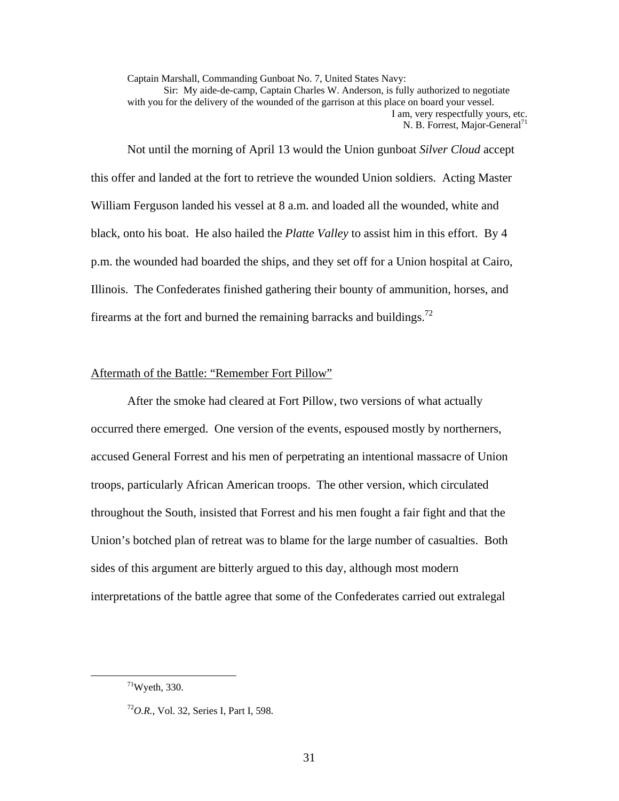Captain Marshall, Commanding Gunboat No. 7, United States Navy: Sir: My aide-de-camp, Captain Charles W. Anderson, is fully authorized to negotiate with you for the delivery of the wounded of the garrison at this place on board your vessel. I am, very respectfully yours, etc. N. B. Forrest, Major-General<sup>71</sup>

 Not until the morning of April 13 would the Union gunboat *Silver Cloud* accept this offer and landed at the fort to retrieve the wounded Union soldiers. Acting Master William Ferguson landed his vessel at 8 a.m. and loaded all the wounded, white and black, onto his boat. He also hailed the *Platte Valley* to assist him in this effort. By 4 p.m. the wounded had boarded the ships, and they set off for a Union hospital at Cairo, Illinois. The Confederates finished gathering their bounty of ammunition, horses, and firearms at the fort and burned the remaining barracks and buildings.<sup>72</sup>

# Aftermath of the Battle: "Remember Fort Pillow"

 After the smoke had cleared at Fort Pillow, two versions of what actually occurred there emerged. One version of the events, espoused mostly by northerners, accused General Forrest and his men of perpetrating an intentional massacre of Union troops, particularly African American troops. The other version, which circulated throughout the South, insisted that Forrest and his men fought a fair fight and that the Union's botched plan of retreat was to blame for the large number of casualties. Both sides of this argument are bitterly argued to this day, although most modern interpretations of the battle agree that some of the Confederates carried out extralegal

 <sup>71</sup>Wyeth*,* 330.

<sup>72</sup>*O.R.*, Vol. 32, Series I, Part I, 598.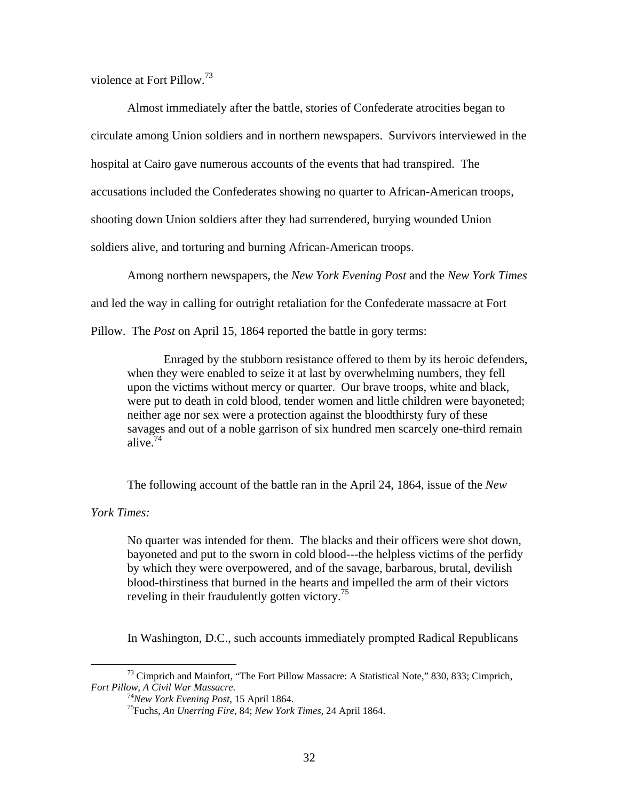violence at Fort Pillow.<sup>73</sup>

Almost immediately after the battle, stories of Confederate atrocities began to circulate among Union soldiers and in northern newspapers. Survivors interviewed in the hospital at Cairo gave numerous accounts of the events that had transpired. The accusations included the Confederates showing no quarter to African-American troops, shooting down Union soldiers after they had surrendered, burying wounded Union soldiers alive, and torturing and burning African-American troops.

Among northern newspapers, the *New York Evening Post* and the *New York Times*

and led the way in calling for outright retaliation for the Confederate massacre at Fort

Pillow. The *Post* on April 15, 1864 reported the battle in gory terms:

Enraged by the stubborn resistance offered to them by its heroic defenders, when they were enabled to seize it at last by overwhelming numbers, they fell upon the victims without mercy or quarter. Our brave troops, white and black, were put to death in cold blood, tender women and little children were bayoneted; neither age nor sex were a protection against the bloodthirsty fury of these savages and out of a noble garrison of six hundred men scarcely one-third remain alive. $^{74}$ 

The following account of the battle ran in the April 24, 1864, issue of the *New* 

*York Times:*

No quarter was intended for them. The blacks and their officers were shot down, bayoneted and put to the sworn in cold blood---the helpless victims of the perfidy by which they were overpowered, and of the savage, barbarous, brutal, devilish blood-thirstiness that burned in the hearts and impelled the arm of their victors reveling in their fraudulently gotten victory.<sup>75</sup>

In Washington, D.C., such accounts immediately prompted Radical Republicans

<sup>&</sup>lt;sup>73</sup> Cimprich and Mainfort, "The Fort Pillow Massacre: A Statistical Note," 830, 833; Cimprich, *Fort Pillow, A Civil War Massacre.*<br><sup>74</sup>*New York Evening Post,* 15 April 1864.<br><sup>75</sup>Fuchs, *An Unerring Fire, 84; New York Times,* 24 April 1864.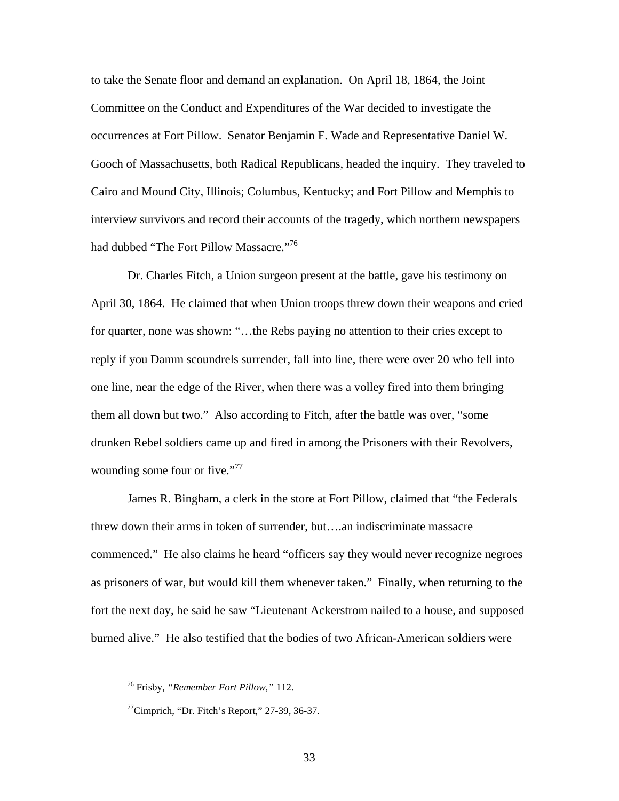to take the Senate floor and demand an explanation. On April 18, 1864, the Joint Committee on the Conduct and Expenditures of the War decided to investigate the occurrences at Fort Pillow. Senator Benjamin F. Wade and Representative Daniel W. Gooch of Massachusetts, both Radical Republicans, headed the inquiry. They traveled to Cairo and Mound City, Illinois; Columbus, Kentucky; and Fort Pillow and Memphis to interview survivors and record their accounts of the tragedy, which northern newspapers had dubbed "The Fort Pillow Massacre."<sup>76</sup>

 Dr. Charles Fitch, a Union surgeon present at the battle, gave his testimony on April 30, 1864. He claimed that when Union troops threw down their weapons and cried for quarter, none was shown: "...the Rebs paying no attention to their cries except to reply if you Damm scoundrels surrender, fall into line, there were over 20 who fell into one line, near the edge of the River, when there was a volley fired into them bringing them all down but two." Also according to Fitch, after the battle was over, "some drunken Rebel soldiers came up and fired in among the Prisoners with their Revolvers, wounding some four or five."<sup>77</sup>

 James R. Bingham, a clerk in the store at Fort Pillow, claimed that "the Federals threw down their arms in token of surrender, but….an indiscriminate massacre commenced." He also claims he heard "officers say they would never recognize negroes as prisoners of war, but would kill them whenever taken." Finally, when returning to the fort the next day, he said he saw "Lieutenant Ackerstrom nailed to a house, and supposed burned alive." He also testified that the bodies of two African-American soldiers were

 <sup>76</sup> Frisby, *"Remember Fort Pillow,"* 112.

 $77$ Cimprich, "Dr. Fitch's Report," 27-39, 36-37.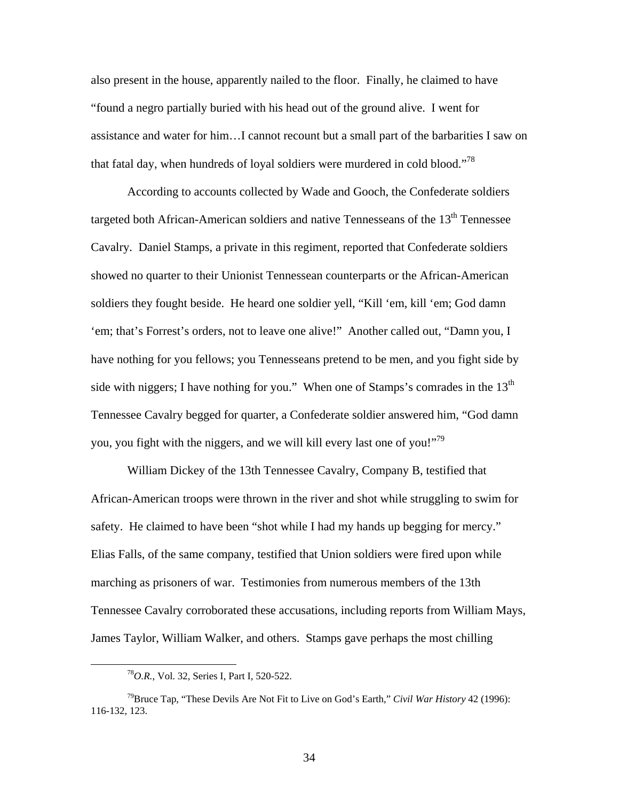also present in the house, apparently nailed to the floor. Finally, he claimed to have "found a negro partially buried with his head out of the ground alive. I went for assistance and water for him…I cannot recount but a small part of the barbarities I saw on that fatal day, when hundreds of loyal soldiers were murdered in cold blood."<sup>78</sup>

 According to accounts collected by Wade and Gooch, the Confederate soldiers targeted both African-American soldiers and native Tennesseans of the  $13<sup>th</sup>$  Tennessee Cavalry. Daniel Stamps, a private in this regiment, reported that Confederate soldiers showed no quarter to their Unionist Tennessean counterparts or the African-American soldiers they fought beside. He heard one soldier yell, "Kill 'em, kill 'em; God damn 'em; that's Forrest's orders, not to leave one alive!" Another called out, "Damn you, I have nothing for you fellows; you Tennesseans pretend to be men, and you fight side by side with niggers; I have nothing for you." When one of Stamps's comrades in the 13<sup>th</sup> Tennessee Cavalry begged for quarter, a Confederate soldier answered him, "God damn you, you fight with the niggers, and we will kill every last one of you!"<sup>79</sup>

William Dickey of the 13th Tennessee Cavalry, Company B, testified that African-American troops were thrown in the river and shot while struggling to swim for safety. He claimed to have been "shot while I had my hands up begging for mercy." Elias Falls, of the same company, testified that Union soldiers were fired upon while marching as prisoners of war. Testimonies from numerous members of the 13th Tennessee Cavalry corroborated these accusations, including reports from William Mays, James Taylor, William Walker, and others. Stamps gave perhaps the most chilling

34

 <sup>78</sup>*O.R.*, Vol. 32, Series I, Part I, 520-522.

<sup>79</sup>Bruce Tap, "These Devils Are Not Fit to Live on God's Earth," *Civil War History* 42 (1996): 116-132, 123.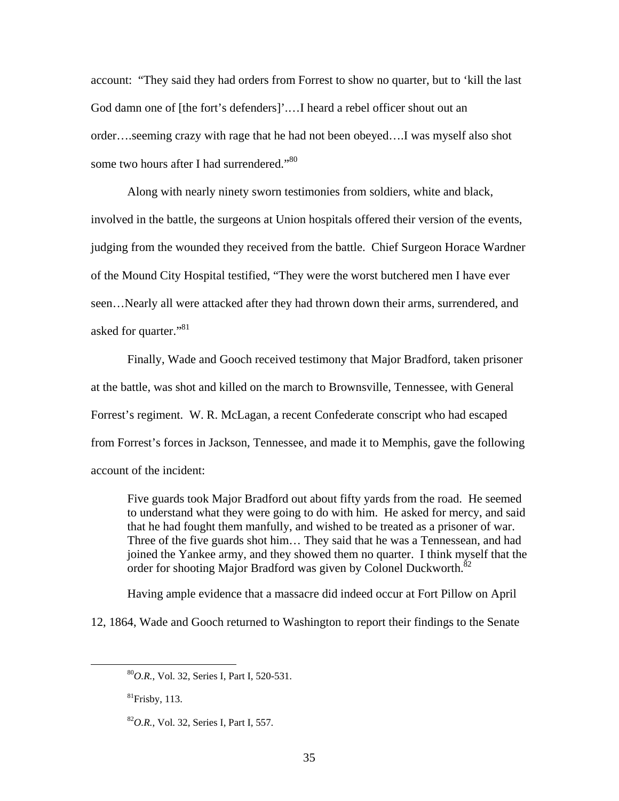account: "They said they had orders from Forrest to show no quarter, but to 'kill the last God damn one of [the fort's defenders]'.…I heard a rebel officer shout out an order….seeming crazy with rage that he had not been obeyed….I was myself also shot some two hours after I had surrendered."<sup>80</sup>

 Along with nearly ninety sworn testimonies from soldiers, white and black, involved in the battle, the surgeons at Union hospitals offered their version of the events, judging from the wounded they received from the battle. Chief Surgeon Horace Wardner of the Mound City Hospital testified, "They were the worst butchered men I have ever seen…Nearly all were attacked after they had thrown down their arms, surrendered, and asked for quarter."<sup>81</sup>

 Finally, Wade and Gooch received testimony that Major Bradford, taken prisoner at the battle, was shot and killed on the march to Brownsville, Tennessee, with General Forrest's regiment. W. R. McLagan, a recent Confederate conscript who had escaped from Forrest's forces in Jackson, Tennessee, and made it to Memphis, gave the following account of the incident:

Five guards took Major Bradford out about fifty yards from the road. He seemed to understand what they were going to do with him. He asked for mercy, and said that he had fought them manfully, and wished to be treated as a prisoner of war. Three of the five guards shot him… They said that he was a Tennessean, and had joined the Yankee army, and they showed them no quarter. I think myself that the order for shooting Major Bradford was given by Colonel Duckworth.<sup>82</sup>

Having ample evidence that a massacre did indeed occur at Fort Pillow on April

12, 1864, Wade and Gooch returned to Washington to report their findings to the Senate

 ${}^{81}$ Frisby, 113.

 <sup>80</sup>*O.R.*, Vol. 32, Series I, Part I, 520-531.

<sup>82</sup>*O.R.*, Vol. 32, Series I, Part I, 557.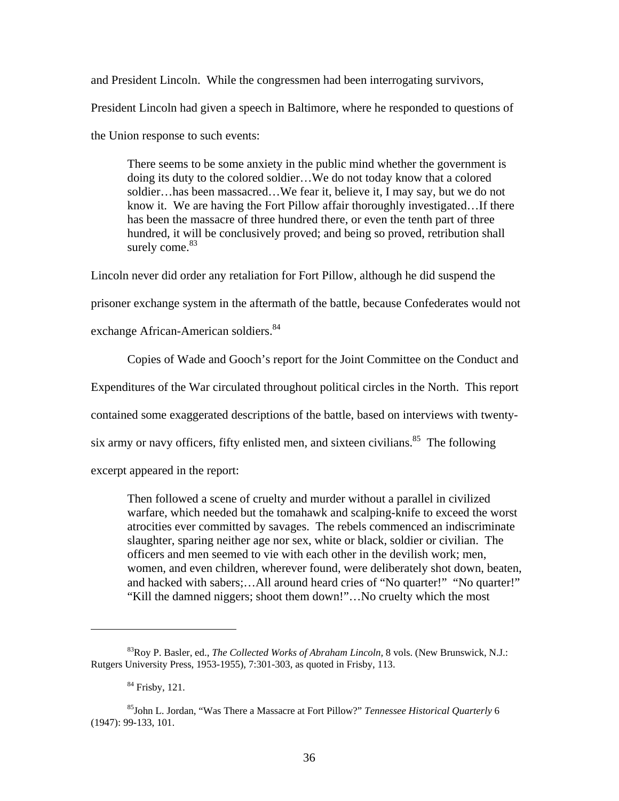and President Lincoln. While the congressmen had been interrogating survivors,

President Lincoln had given a speech in Baltimore, where he responded to questions of

the Union response to such events:

There seems to be some anxiety in the public mind whether the government is doing its duty to the colored soldier…We do not today know that a colored soldier…has been massacred…We fear it, believe it, I may say, but we do not know it. We are having the Fort Pillow affair thoroughly investigated…If there has been the massacre of three hundred there, or even the tenth part of three hundred, it will be conclusively proved; and being so proved, retribution shall surely come. $83$ 

Lincoln never did order any retaliation for Fort Pillow, although he did suspend the

prisoner exchange system in the aftermath of the battle, because Confederates would not

exchange African-American soldiers.<sup>84</sup>

Copies of Wade and Gooch's report for the Joint Committee on the Conduct and

Expenditures of the War circulated throughout political circles in the North. This report

contained some exaggerated descriptions of the battle, based on interviews with twenty-

six army or navy officers, fifty enlisted men, and sixteen civilians.<sup>85</sup> The following

excerpt appeared in the report:

Then followed a scene of cruelty and murder without a parallel in civilized warfare, which needed but the tomahawk and scalping-knife to exceed the worst atrocities ever committed by savages. The rebels commenced an indiscriminate slaughter, sparing neither age nor sex, white or black, soldier or civilian. The officers and men seemed to vie with each other in the devilish work; men, women, and even children, wherever found, were deliberately shot down, beaten, and hacked with sabers;…All around heard cries of "No quarter!" "No quarter!" "Kill the damned niggers; shoot them down!"…No cruelty which the most

1

<sup>83</sup>Roy P. Basler, ed., *The Collected Works of Abraham Lincoln,* 8 vols. (New Brunswick, N.J.: Rutgers University Press, 1953-1955), 7:301-303, as quoted in Frisby, 113.

<sup>84</sup> Frisby, 121.

<sup>85</sup>John L. Jordan, "Was There a Massacre at Fort Pillow?" *Tennessee Historical Quarterly* 6 (1947): 99-133, 101.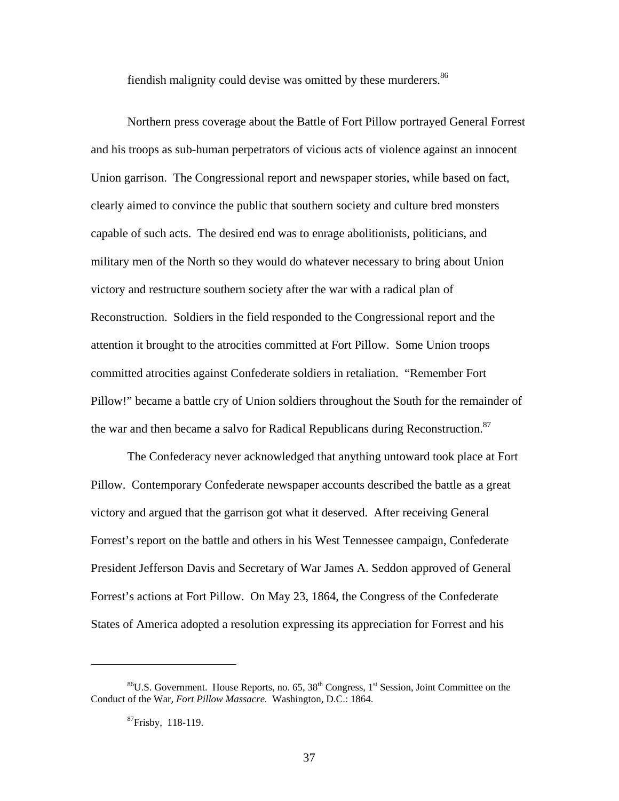fiendish malignity could devise was omitted by these murderers.<sup>86</sup>

Northern press coverage about the Battle of Fort Pillow portrayed General Forrest and his troops as sub-human perpetrators of vicious acts of violence against an innocent Union garrison. The Congressional report and newspaper stories, while based on fact, clearly aimed to convince the public that southern society and culture bred monsters capable of such acts. The desired end was to enrage abolitionists, politicians, and military men of the North so they would do whatever necessary to bring about Union victory and restructure southern society after the war with a radical plan of Reconstruction. Soldiers in the field responded to the Congressional report and the attention it brought to the atrocities committed at Fort Pillow. Some Union troops committed atrocities against Confederate soldiers in retaliation. "Remember Fort Pillow!" became a battle cry of Union soldiers throughout the South for the remainder of the war and then became a salvo for Radical Republicans during Reconstruction.<sup>87</sup>

The Confederacy never acknowledged that anything untoward took place at Fort Pillow. Contemporary Confederate newspaper accounts described the battle as a great victory and argued that the garrison got what it deserved. After receiving General Forrest's report on the battle and others in his West Tennessee campaign, Confederate President Jefferson Davis and Secretary of War James A. Seddon approved of General Forrest's actions at Fort Pillow. On May 23, 1864, the Congress of the Confederate States of America adopted a resolution expressing its appreciation for Forrest and his

 $\overline{a}$ 

 $^{86}$ U.S. Government. House Reports, no. 65, 38<sup>th</sup> Congress, 1<sup>st</sup> Session, Joint Committee on the Conduct of the War, *Fort Pillow Massacre.* Washington, D.C.: 1864.

 ${}^{87}$ Frisby, 118-119.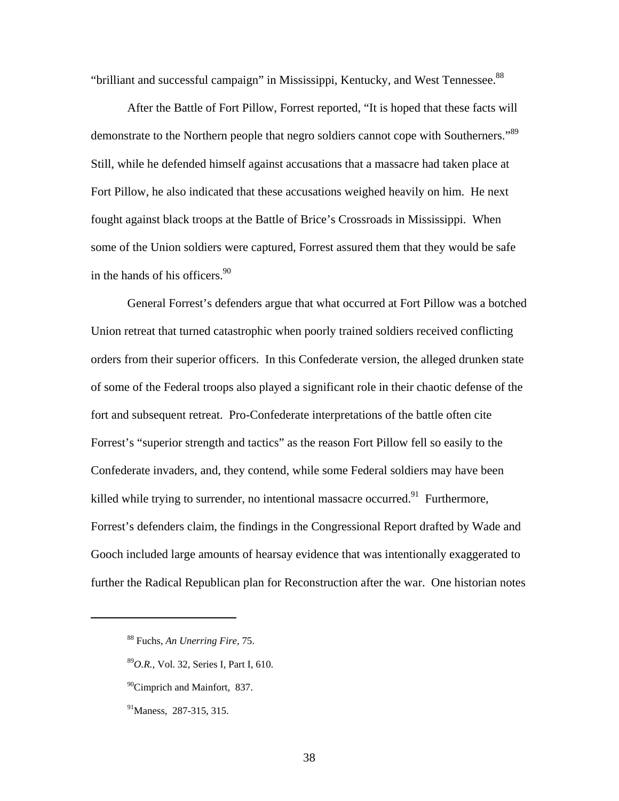"brilliant and successful campaign" in Mississippi, Kentucky, and West Tennessee.<sup>88</sup>

After the Battle of Fort Pillow, Forrest reported, "It is hoped that these facts will demonstrate to the Northern people that negro soldiers cannot cope with Southerners."<sup>89</sup> Still, while he defended himself against accusations that a massacre had taken place at Fort Pillow, he also indicated that these accusations weighed heavily on him. He next fought against black troops at the Battle of Brice's Crossroads in Mississippi. When some of the Union soldiers were captured, Forrest assured them that they would be safe in the hands of his officers.  $90<sup>90</sup>$ 

General Forrest's defenders argue that what occurred at Fort Pillow was a botched Union retreat that turned catastrophic when poorly trained soldiers received conflicting orders from their superior officers. In this Confederate version, the alleged drunken state of some of the Federal troops also played a significant role in their chaotic defense of the fort and subsequent retreat. Pro-Confederate interpretations of the battle often cite Forrest's "superior strength and tactics" as the reason Fort Pillow fell so easily to the Confederate invaders, and, they contend, while some Federal soldiers may have been killed while trying to surrender, no intentional massacre occurred.<sup>91</sup> Furthermore, Forrest's defenders claim, the findings in the Congressional Report drafted by Wade and Gooch included large amounts of hearsay evidence that was intentionally exaggerated to further the Radical Republican plan for Reconstruction after the war. One historian notes

 $\overline{a}$ 

 $\rm{^{90}C}$ imprich and Mainfort, 837.

<sup>88</sup> Fuchs, *An Unerring Fire,* 75.

<sup>89</sup>*O.R.*, Vol. 32, Series I, Part I, 610.

 $^{91}$ Maness, 287-315, 315.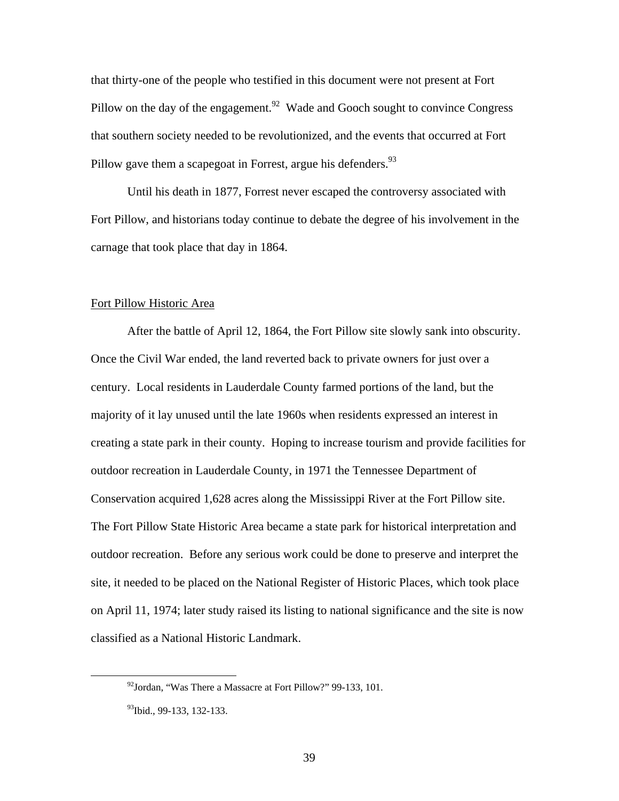that thirty-one of the people who testified in this document were not present at Fort Pillow on the day of the engagement.<sup>92</sup> Wade and Gooch sought to convince Congress that southern society needed to be revolutionized, and the events that occurred at Fort Pillow gave them a scapegoat in Forrest, argue his defenders.  $93$ 

 Until his death in 1877, Forrest never escaped the controversy associated with Fort Pillow, and historians today continue to debate the degree of his involvement in the carnage that took place that day in 1864.

#### Fort Pillow Historic Area

 After the battle of April 12, 1864, the Fort Pillow site slowly sank into obscurity. Once the Civil War ended, the land reverted back to private owners for just over a century. Local residents in Lauderdale County farmed portions of the land, but the majority of it lay unused until the late 1960s when residents expressed an interest in creating a state park in their county. Hoping to increase tourism and provide facilities for outdoor recreation in Lauderdale County, in 1971 the Tennessee Department of Conservation acquired 1,628 acres along the Mississippi River at the Fort Pillow site. The Fort Pillow State Historic Area became a state park for historical interpretation and outdoor recreation. Before any serious work could be done to preserve and interpret the site, it needed to be placed on the National Register of Historic Places, which took place on April 11, 1974; later study raised its listing to national significance and the site is now classified as a National Historic Landmark.

<sup>&</sup>lt;sup>92</sup>Jordan, "Was There a Massacre at Fort Pillow?" 99-133, 101.

<sup>&</sup>lt;sup>93</sup>Ibid., 99-133, 132-133.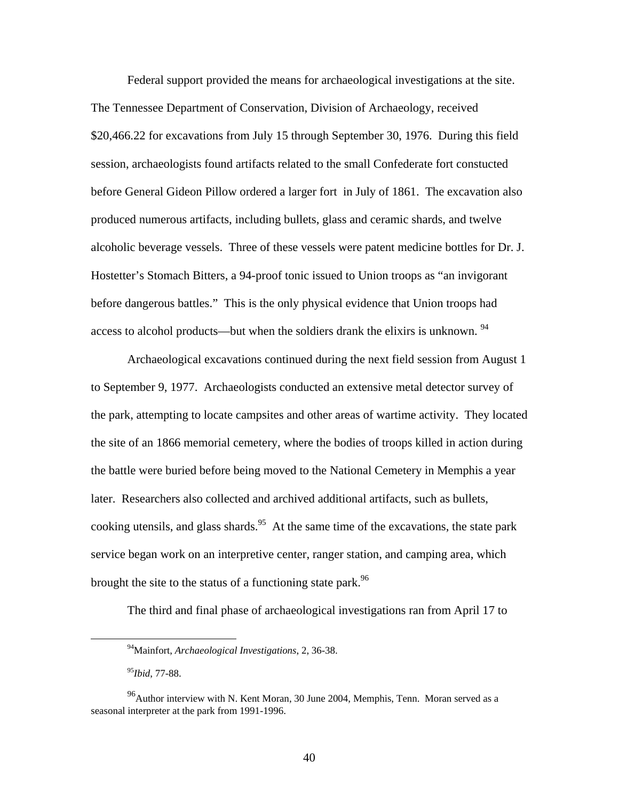Federal support provided the means for archaeological investigations at the site. The Tennessee Department of Conservation, Division of Archaeology, received \$20,466.22 for excavations from July 15 through September 30, 1976. During this field session, archaeologists found artifacts related to the small Confederate fort constucted before General Gideon Pillow ordered a larger fort in July of 1861. The excavation also produced numerous artifacts, including bullets, glass and ceramic shards, and twelve alcoholic beverage vessels. Three of these vessels were patent medicine bottles for Dr. J. Hostetter's Stomach Bitters, a 94-proof tonic issued to Union troops as "an invigorant before dangerous battles." This is the only physical evidence that Union troops had access to alcohol products—but when the soldiers drank the elixirs is unknown.  $94$ 

 Archaeological excavations continued during the next field session from August 1 to September 9, 1977. Archaeologists conducted an extensive metal detector survey of the park, attempting to locate campsites and other areas of wartime activity. They located the site of an 1866 memorial cemetery, where the bodies of troops killed in action during the battle were buried before being moved to the National Cemetery in Memphis a year later. Researchers also collected and archived additional artifacts, such as bullets, cooking utensils, and glass shards.<sup>95</sup> At the same time of the excavations, the state park service began work on an interpretive center, ranger station, and camping area, which brought the site to the status of a functioning state park.  $96$ 

The third and final phase of archaeological investigations ran from April 17 to

 <sup>94</sup>Mainfort, *Archaeological Investigations*, 2, 36-38.

<sup>95</sup>*Ibid*, 77-88.

<sup>&</sup>lt;sup>96</sup>Author interview with N. Kent Moran, 30 June 2004, Memphis, Tenn. Moran served as a seasonal interpreter at the park from 1991-1996.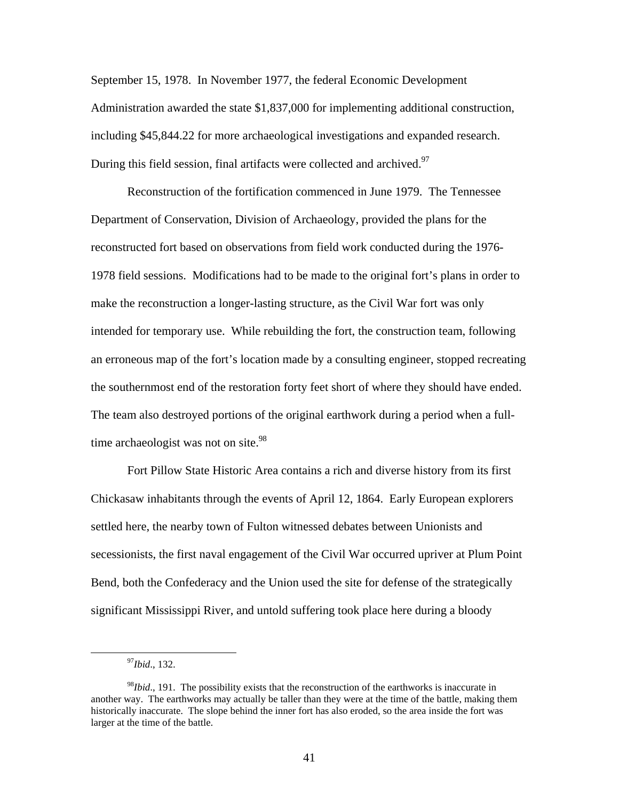September 15, 1978. In November 1977, the federal Economic Development Administration awarded the state \$1,837,000 for implementing additional construction, including \$45,844.22 for more archaeological investigations and expanded research. During this field session, final artifacts were collected and archived.<sup>97</sup>

 Reconstruction of the fortification commenced in June 1979. The Tennessee Department of Conservation, Division of Archaeology, provided the plans for the reconstructed fort based on observations from field work conducted during the 1976- 1978 field sessions. Modifications had to be made to the original fort's plans in order to make the reconstruction a longer-lasting structure, as the Civil War fort was only intended for temporary use. While rebuilding the fort, the construction team, following an erroneous map of the fort's location made by a consulting engineer, stopped recreating the southernmost end of the restoration forty feet short of where they should have ended. The team also destroyed portions of the original earthwork during a period when a fulltime archaeologist was not on site. $98$ 

 Fort Pillow State Historic Area contains a rich and diverse history from its first Chickasaw inhabitants through the events of April 12, 1864. Early European explorers settled here, the nearby town of Fulton witnessed debates between Unionists and secessionists, the first naval engagement of the Civil War occurred upriver at Plum Point Bend, both the Confederacy and the Union used the site for defense of the strategically significant Mississippi River, and untold suffering took place here during a bloody

 <sup>97</sup>*Ibid*., 132.

<sup>&</sup>lt;sup>98</sup>*Ibid.*, 191. The possibility exists that the reconstruction of the earthworks is inaccurate in another way. The earthworks may actually be taller than they were at the time of the battle, making them historically inaccurate. The slope behind the inner fort has also eroded, so the area inside the fort was larger at the time of the battle.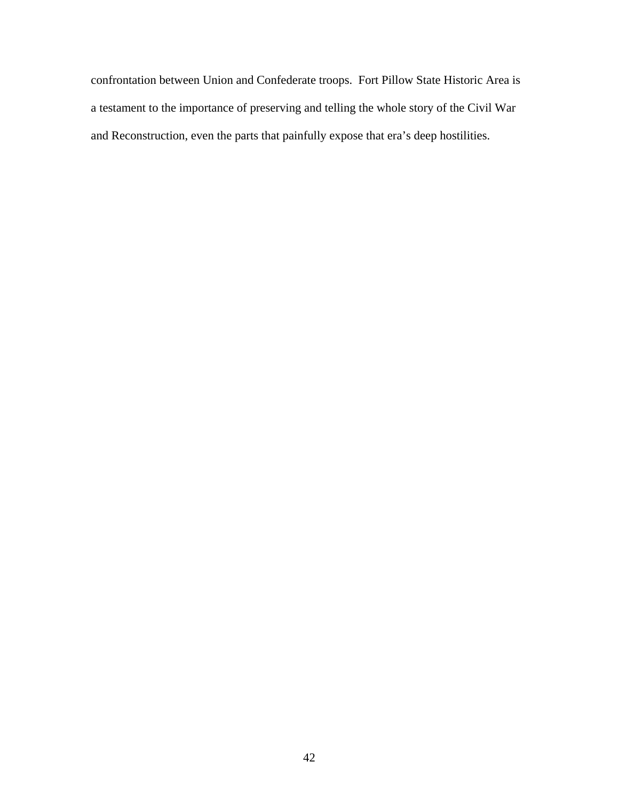confrontation between Union and Confederate troops. Fort Pillow State Historic Area is a testament to the importance of preserving and telling the whole story of the Civil War and Reconstruction, even the parts that painfully expose that era's deep hostilities.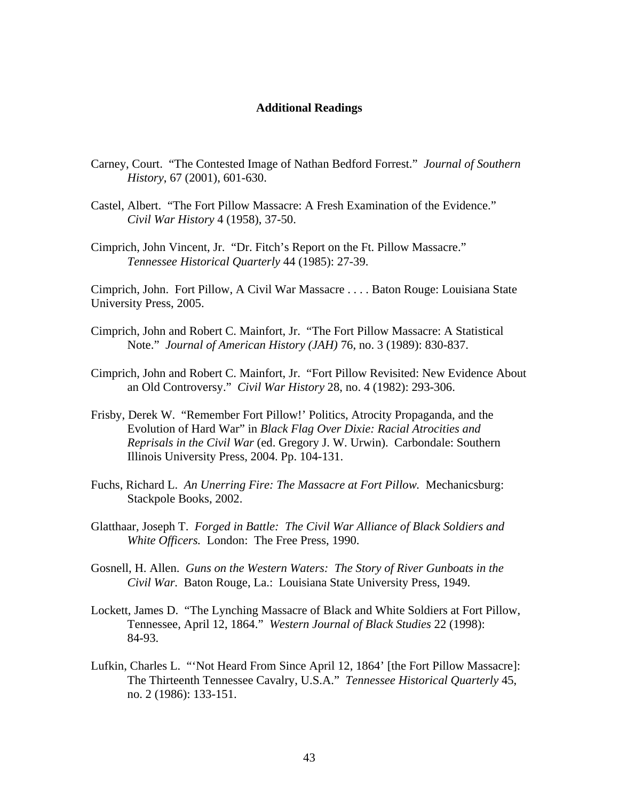## **Additional Readings**

- Carney, Court. "The Contested Image of Nathan Bedford Forrest." *Journal of Southern History*, 67 (2001), 601-630.
- Castel, Albert. "The Fort Pillow Massacre: A Fresh Examination of the Evidence." *Civil War History* 4 (1958), 37-50.
- Cimprich, John Vincent, Jr. "Dr. Fitch's Report on the Ft. Pillow Massacre." *Tennessee Historical Quarterly* 44 (1985): 27-39.

Cimprich, John. Fort Pillow, A Civil War Massacre . . . . Baton Rouge: Louisiana State University Press, 2005.

- Cimprich, John and Robert C. Mainfort, Jr. "The Fort Pillow Massacre: A Statistical Note." *Journal of American History (JAH)* 76, no. 3 (1989): 830-837.
- Cimprich, John and Robert C. Mainfort, Jr. "Fort Pillow Revisited: New Evidence About an Old Controversy." *Civil War History* 28, no. 4 (1982): 293-306.
- Frisby, Derek W. "Remember Fort Pillow!' Politics, Atrocity Propaganda, and the Evolution of Hard War" in *Black Flag Over Dixie: Racial Atrocities and Reprisals in the Civil War* (ed. Gregory J. W. Urwin). Carbondale: Southern Illinois University Press, 2004. Pp. 104-131.
- Fuchs, Richard L. *An Unerring Fire: The Massacre at Fort Pillow.* Mechanicsburg: Stackpole Books, 2002.
- Glatthaar, Joseph T. *Forged in Battle: The Civil War Alliance of Black Soldiers and White Officers.* London: The Free Press, 1990.
- Gosnell, H. Allen. *Guns on the Western Waters: The Story of River Gunboats in the Civil War.* Baton Rouge, La.: Louisiana State University Press, 1949.
- Lockett, James D. "The Lynching Massacre of Black and White Soldiers at Fort Pillow, Tennessee, April 12, 1864." *Western Journal of Black Studies* 22 (1998): 84-93.
- Lufkin, Charles L. "'Not Heard From Since April 12, 1864' [the Fort Pillow Massacre]: The Thirteenth Tennessee Cavalry, U.S.A." *Tennessee Historical Quarterly* 45, no. 2 (1986): 133-151.